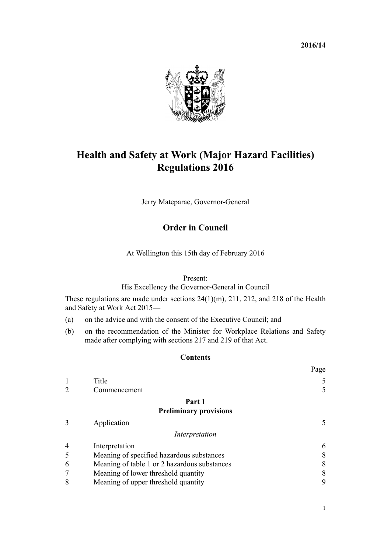**2016/14**



# **Health and Safety at Work (Major Hazard Facilities) Regulations 2016**

Jerry Mateparae, Governor-General

# **Order in Council**

At Wellington this 15th day of February 2016

#### Present:

His Excellency the Governor-General in Council

These regulations are made under [sections 24\(1\)\(m\),](http://prd-lgnz-nlb.prd.pco.net.nz/pdflink.aspx?id=DLM5976877) [211,](http://prd-lgnz-nlb.prd.pco.net.nz/pdflink.aspx?id=DLM5977214) [212](http://prd-lgnz-nlb.prd.pco.net.nz/pdflink.aspx?id=DLM5977215), and [218](http://prd-lgnz-nlb.prd.pco.net.nz/pdflink.aspx?id=DLM5977220) of the Health and Safety at Work Act 2015—

- (a) on the advice and with the consent of the Executive Council; and
- (b) on the recommendation of the Minister for Workplace Relations and Safety made after complying with sections [217](http://prd-lgnz-nlb.prd.pco.net.nz/pdflink.aspx?id=DLM5977219) and [219](http://prd-lgnz-nlb.prd.pco.net.nz/pdflink.aspx?id=DLM5977221) of that Act.

#### **Contents**

|                |                                              | Page |
|----------------|----------------------------------------------|------|
|                | Title                                        | 5    |
| $\overline{2}$ | Commencement                                 | 5    |
|                | Part 1                                       |      |
|                | <b>Preliminary provisions</b>                |      |
| 3              | Application                                  | 5    |
|                | Interpretation                               |      |
| 4              | Interpretation                               | 6    |
| 5              | Meaning of specified hazardous substances    | 8    |
| 6              | Meaning of table 1 or 2 hazardous substances | 8    |
| 7              | Meaning of lower threshold quantity          | 8    |
| 8              | Meaning of upper threshold quantity          | 9    |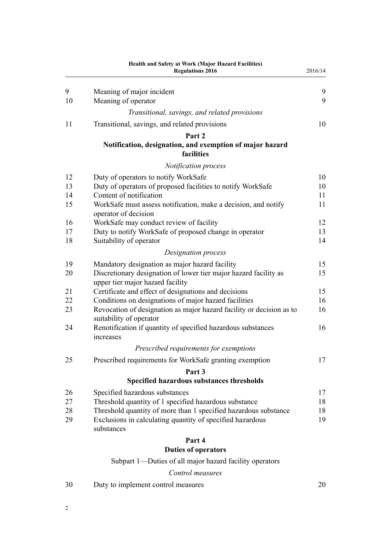|    | <b>Health and Safety at Work (Major Hazard Facilities)</b><br><b>Regulations 2016</b>                | 2016/14 |
|----|------------------------------------------------------------------------------------------------------|---------|
| 9  | Meaning of major incident                                                                            | 9       |
| 10 | Meaning of operator                                                                                  | 9       |
|    | Transitional, savings, and related provisions                                                        |         |
| 11 | Transitional, savings, and related provisions                                                        | 10      |
|    | Part 2                                                                                               |         |
|    | Notification, designation, and exemption of major hazard<br>facilities                               |         |
|    | Notification process                                                                                 |         |
| 12 | Duty of operators to notify WorkSafe                                                                 | 10      |
| 13 | Duty of operators of proposed facilities to notify WorkSafe                                          | 10      |
| 14 | Content of notification                                                                              | 11      |
| 15 | WorkSafe must assess notification, make a decision, and notify<br>operator of decision               | 11      |
| 16 | WorkSafe may conduct review of facility                                                              | 12      |
| 17 | Duty to notify WorkSafe of proposed change in operator                                               | 13      |
| 18 | Suitability of operator                                                                              | 14      |
|    | Designation process                                                                                  |         |
| 19 | Mandatory designation as major hazard facility                                                       | 15      |
| 20 | Discretionary designation of lower tier major hazard facility as<br>upper tier major hazard facility | 15      |
| 21 | Certificate and effect of designations and decisions                                                 | 15      |
| 22 | Conditions on designations of major hazard facilities                                                | 16      |
| 23 | Revocation of designation as major hazard facility or decision as to<br>suitability of operator      | 16      |
| 24 | Renotification if quantity of specified hazardous substances<br>increases                            | 16      |
|    | Prescribed requirements for exemptions                                                               |         |
| 25 | Prescribed requirements for WorkSafe granting exemption                                              | 17      |
|    | Part 3                                                                                               |         |
|    | Specified hazardous substances thresholds                                                            |         |
| 26 | Specified hazardous substances                                                                       | 17      |
| 27 | Threshold quantity of 1 specified hazardous substance                                                | 18      |
| 28 | Threshold quantity of more than 1 specified hazardous substance                                      | 18      |
| 29 | Exclusions in calculating quantity of specified hazardous<br>substances                              | 19      |
|    | Part 4                                                                                               |         |
|    | <b>Duties of operators</b>                                                                           |         |
|    | Subpart 1—Duties of all major hazard facility operators                                              |         |
|    | Control measures                                                                                     |         |
|    |                                                                                                      |         |

[30](#page-19-0) [Duty to implement control measures](#page-19-0) [20](#page-19-0)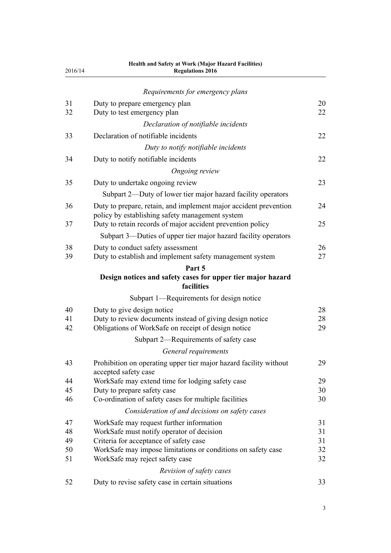| 2016/14        | Health and Safety at Work (Major Hazard Facilities)<br><b>Regulations 2016</b>                                                                |                |
|----------------|-----------------------------------------------------------------------------------------------------------------------------------------------|----------------|
|                | Requirements for emergency plans                                                                                                              |                |
| 31<br>32       | Duty to prepare emergency plan<br>Duty to test emergency plan                                                                                 | 20<br>22       |
|                | Declaration of notifiable incidents                                                                                                           |                |
| 33             | Declaration of notifiable incidents                                                                                                           | 22             |
|                | Duty to notify notifiable incidents                                                                                                           |                |
| 34             | Duty to notify notifiable incidents                                                                                                           | 22             |
|                | Ongoing review                                                                                                                                |                |
| 35             | Duty to undertake ongoing review                                                                                                              | 23             |
|                | Subpart 2—Duty of lower tier major hazard facility operators                                                                                  |                |
| 36             | Duty to prepare, retain, and implement major accident prevention<br>policy by establishing safety management system                           | 24             |
| 37             | Duty to retain records of major accident prevention policy                                                                                    | 25             |
|                | Subpart 3—Duties of upper tier major hazard facility operators                                                                                |                |
| 38<br>39       | Duty to conduct safety assessment<br>Duty to establish and implement safety management system                                                 | 26<br>27       |
|                | Part 5                                                                                                                                        |                |
|                | Design notices and safety cases for upper tier major hazard<br>facilities                                                                     |                |
|                | Subpart 1-Requirements for design notice                                                                                                      |                |
| 40<br>41<br>42 | Duty to give design notice<br>Duty to review documents instead of giving design notice<br>Obligations of WorkSafe on receipt of design notice | 28<br>28<br>29 |
|                | Subpart 2—Requirements of safety case                                                                                                         |                |
|                | General requirements                                                                                                                          |                |
| 43             | Prohibition on operating upper tier major hazard facility without<br>accepted safety case                                                     | 29             |
| 44             | WorkSafe may extend time for lodging safety case                                                                                              | 29             |
| 45             | Duty to prepare safety case                                                                                                                   | 30             |
| 46             | Co-ordination of safety cases for multiple facilities                                                                                         | 30             |
|                | Consideration of and decisions on safety cases                                                                                                |                |
| 47<br>48       | WorkSafe may request further information<br>WorkSafe must notify operator of decision                                                         | 31<br>31       |
| 49             | Criteria for acceptance of safety case                                                                                                        | 31             |
| 50             | WorkSafe may impose limitations or conditions on safety case                                                                                  | 32             |
| 51             | WorkSafe may reject safety case                                                                                                               | 32             |
|                | Revision of safety cases                                                                                                                      |                |
| 52             | Duty to revise safety case in certain situations                                                                                              | 33             |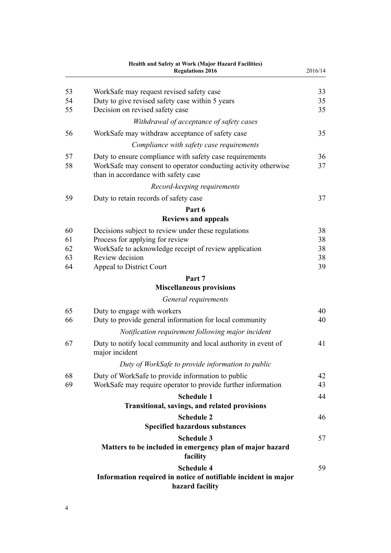|          | Health and Safety at Work (Major Hazard Facilities)<br><b>Regulations 2016</b>                                                                                   | 2016/14  |
|----------|------------------------------------------------------------------------------------------------------------------------------------------------------------------|----------|
| 53       | WorkSafe may request revised safety case                                                                                                                         | 33       |
| 54<br>55 | Duty to give revised safety case within 5 years<br>Decision on revised safety case                                                                               | 35<br>35 |
|          | Withdrawal of acceptance of safety cases                                                                                                                         |          |
| 56       | WorkSafe may withdraw acceptance of safety case                                                                                                                  | 35       |
|          | Compliance with safety case requirements                                                                                                                         |          |
| 57<br>58 | Duty to ensure compliance with safety case requirements<br>WorkSafe may consent to operator conducting activity otherwise<br>than in accordance with safety case | 36<br>37 |
|          | Record-keeping requirements                                                                                                                                      |          |
| 59       | Duty to retain records of safety case                                                                                                                            | 37       |
|          | Part 6                                                                                                                                                           |          |
|          | <b>Reviews and appeals</b>                                                                                                                                       |          |
| 60       | Decisions subject to review under these regulations                                                                                                              | 38       |
| 61<br>62 | Process for applying for review<br>WorkSafe to acknowledge receipt of review application                                                                         | 38<br>38 |
| 63       | Review decision                                                                                                                                                  | 38       |
| 64       | Appeal to District Court                                                                                                                                         | 39       |
|          | Part 7                                                                                                                                                           |          |
|          | <b>Miscellaneous provisions</b>                                                                                                                                  |          |
|          | General requirements                                                                                                                                             |          |
| 65<br>66 | Duty to engage with workers<br>Duty to provide general information for local community                                                                           | 40<br>40 |
|          | Notification requirement following major incident                                                                                                                |          |
| 67       | Duty to notify local community and local authority in event of<br>major incident                                                                                 | 41       |
|          | Duty of WorkSafe to provide information to public                                                                                                                |          |
| 68<br>69 | Duty of WorkSafe to provide information to public<br>WorkSafe may require operator to provide further information                                                | 42<br>43 |
|          | <b>Schedule 1</b>                                                                                                                                                | 44       |
|          | Transitional, savings, and related provisions                                                                                                                    |          |
|          | <b>Schedule 2</b>                                                                                                                                                | 46       |
|          | <b>Specified hazardous substances</b>                                                                                                                            |          |
|          | <b>Schedule 3</b><br>Matters to be included in emergency plan of major hazard<br>facility                                                                        | 57       |
|          | <b>Schedule 4</b><br>Information required in notice of notifiable incident in major<br>hazard facility                                                           | 59       |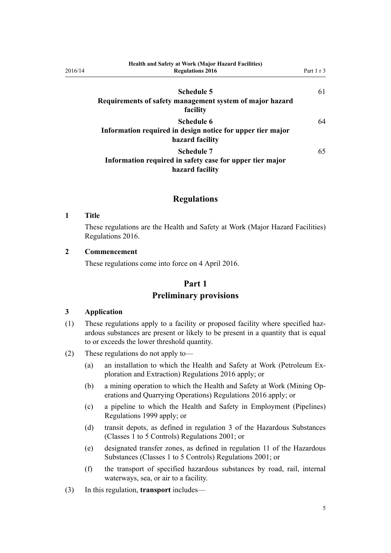| <b>Health and Safety at Work (Major Hazard Facilities)</b> |            |
|------------------------------------------------------------|------------|
| <b>Regulations 2016</b>                                    | Part 1 r 3 |
|                                                            |            |
| Schedule 5                                                 | 61         |
| Requirements of safety management system of major hazard   |            |
| facility                                                   |            |
| Schedule 6                                                 | 64         |
| Information required in design notice for upper tier major |            |
| hazard facility                                            |            |
| Schedule 7                                                 | 65         |
| Information required in safety case for upper tier major   |            |
| hazard facility                                            |            |

# **Regulations**

#### **1 Title**

<span id="page-4-0"></span>2016/14

These regulations are the Health and Safety at Work (Major Hazard Facilities) Regulations 2016.

#### **2 Commencement**

These regulations come into force on 4 April 2016.

# **Part 1 Preliminary provisions**

#### **3 Application**

- (1) These regulations apply to a facility or proposed facility where specified hazardous substances are present or likely to be present in a quantity that is equal to or exceeds the lower threshold quantity.
- (2) These regulations do not apply to—
	- (a) an installation to which the [Health and Safety at Work \(Petroleum Ex](http://prd-lgnz-nlb.prd.pco.net.nz/pdflink.aspx?id=DLM6728800)[ploration and Extraction\) Regulations 2016](http://prd-lgnz-nlb.prd.pco.net.nz/pdflink.aspx?id=DLM6728800) apply; or
	- (b) a mining operation to which the [Health and Safety at Work \(Mining Op](http://prd-lgnz-nlb.prd.pco.net.nz/pdflink.aspx?id=DLM6732828)[erations and Quarrying Operations\) Regulations 2016](http://prd-lgnz-nlb.prd.pco.net.nz/pdflink.aspx?id=DLM6732828) apply; or
	- (c) a pipeline to which the [Health and Safety in Employment \(Pipelines\)](http://prd-lgnz-nlb.prd.pco.net.nz/pdflink.aspx?id=DLM298847) [Regulations 1999](http://prd-lgnz-nlb.prd.pco.net.nz/pdflink.aspx?id=DLM298847) apply; or
	- (d) transit depots, as defined in [regulation 3](http://prd-lgnz-nlb.prd.pco.net.nz/pdflink.aspx?id=DLM36301) of the Hazardous Substances (Classes 1 to 5 Controls) Regulations 2001; or
	- (e) designated transfer zones, as defined in [regulation 11](http://prd-lgnz-nlb.prd.pco.net.nz/pdflink.aspx?id=DLM36382) of the Hazardous Substances (Classes 1 to 5 Controls) Regulations 2001; or
	- (f) the transport of specified hazardous substances by road, rail, internal waterways, sea, or air to a facility.
- (3) In this regulation, **transport** includes—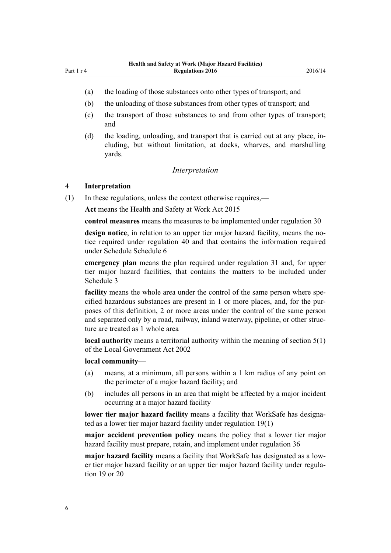- 
- <span id="page-5-0"></span>(a) the loading of those substances onto other types of transport; and
- (b) the unloading of those substances from other types of transport; and
- (c) the transport of those substances to and from other types of transport; and
- (d) the loading, unloading, and transport that is carried out at any place, including, but without limitation, at docks, wharves, and marshalling yards.

#### *Interpretation*

#### **4 Interpretation**

(1) In these regulations, unless the context otherwise requires,—

**Act** means the [Health and Safety at Work Act 2015](http://prd-lgnz-nlb.prd.pco.net.nz/pdflink.aspx?id=DLM5976602)

**control measures** means the measures to be implemented under [regulation 30](#page-19-0)

**design notice**, in relation to an upper tier major hazard facility, means the notice required under [regulation 40](#page-27-0) and that contains the information required under Schedule [Schedule 6](#page-63-0)

**emergency plan** means the plan required under [regulation 31](#page-19-0) and, for upper tier major hazard facilities, that contains the matters to be included under [Schedule 3](#page-56-0)

**facility** means the whole area under the control of the same person where specified hazardous substances are present in 1 or more places, and, for the purposes of this definition, 2 or more areas under the control of the same person and separated only by a road, railway, inland waterway, pipeline, or other structure are treated as 1 whole area

**local authority** means a territorial authority within the meaning of [section 5\(1\)](http://prd-lgnz-nlb.prd.pco.net.nz/pdflink.aspx?id=DLM170881) of the Local Government Act 2002

#### **local community**—

- (a) means, at a minimum, all persons within a 1 km radius of any point on the perimeter of a major hazard facility; and
- (b) includes all persons in an area that might be affected by a major incident occurring at a major hazard facility

**lower tier major hazard facility** means a facility that WorkSafe has designated as a lower tier major hazard facility under [regulation 19\(1\)](#page-14-0)

**major accident prevention policy** means the policy that a lower tier major hazard facility must prepare, retain, and implement under [regulation 36](#page-23-0)

**major hazard facility** means a facility that WorkSafe has designated as a lower tier major hazard facility or an upper tier major hazard facility under [regula](#page-14-0)[tion 19](#page-14-0) or [20](#page-14-0)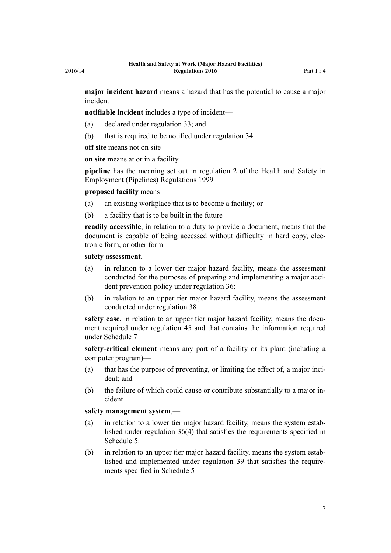**major incident hazard** means a hazard that has the potential to cause a major incident

**notifiable incident** includes a type of incident—

- (a) declared under [regulation 33](#page-21-0); and
- (b) that is required to be notified under [regulation 34](#page-21-0)

**off site** means not on site

**on site** means at or in a facility

**pipeline** has the meaning set out in [regulation 2](http://prd-lgnz-nlb.prd.pco.net.nz/pdflink.aspx?id=DLM298853) of the Health and Safety in Employment (Pipelines) Regulations 1999

#### **proposed facility** means—

- (a) an existing workplace that is to become a facility; or
- (b) a facility that is to be built in the future

**readily accessible**, in relation to a duty to provide a document, means that the document is capable of being accessed without difficulty in hard copy, electronic form, or other form

#### **safety assessment**,—

- (a) in relation to a lower tier major hazard facility, means the assessment conducted for the purposes of preparing and implementing a major accident prevention policy under [regulation 36:](#page-23-0)
- (b) in relation to an upper tier major hazard facility, means the assessment conducted under [regulation 38](#page-25-0)

**safety case**, in relation to an upper tier major hazard facility, means the document required under [regulation 45](#page-29-0) and that contains the information required under [Schedule 7](#page-64-0)

**safety-critical element** means any part of a facility or its plant (including a computer program)—

- (a) that has the purpose of preventing, or limiting the effect of, a major incident; and
- (b) the failure of which could cause or contribute substantially to a major incident

#### **safety management system**,—

- (a) in relation to a lower tier major hazard facility, means the system established under [regulation 36\(4\)](#page-23-0) that satisfies the requirements specified in [Schedule 5:](#page-60-0)
- (b) in relation to an upper tier major hazard facility, means the system established and implemented under [regulation 39](#page-26-0) that satisfies the requirements specified in [Schedule 5](#page-60-0)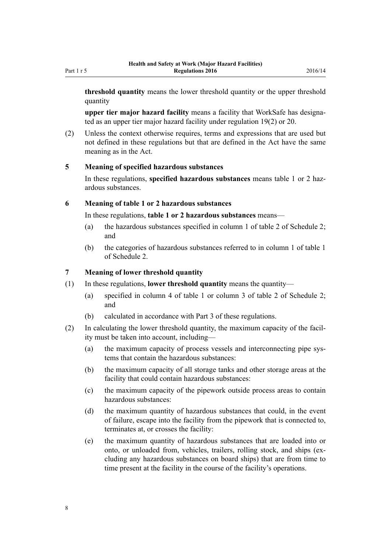<span id="page-7-0"></span>**upper tier major hazard facility** means a facility that WorkSafe has designated as an upper tier major hazard facility under [regulation 19\(2\)](#page-14-0) or [20.](#page-14-0)

(2) Unless the context otherwise requires, terms and expressions that are used but not defined in these regulations but that are defined in the Act have the same meaning as in the Act.

#### **5 Meaning of specified hazardous substances**

In these regulations, **specified hazardous substances** means table 1 or 2 hazardous substances.

#### **6 Meaning of table 1 or 2 hazardous substances**

In these regulations, **table 1 or 2 hazardous substances** means—

- (a) the hazardous substances specified in column 1 of table 2 of [Schedule 2;](#page-45-0) and
- (b) the categories of hazardous substances referred to in column 1 of table 1 of [Schedule 2](#page-45-0).

# **7 Meaning of lower threshold quantity**

- (1) In these regulations, **lower threshold quantity** means the quantity—
	- (a) specified in column 4 of table 1 or column 3 of table 2 of [Schedule 2;](#page-45-0) and
	- (b) calculated in accordance with [Part 3](#page-16-0) of these regulations.
- (2) In calculating the lower threshold quantity, the maximum capacity of the facility must be taken into account, including—
	- (a) the maximum capacity of process vessels and interconnecting pipe systems that contain the hazardous substances:
	- (b) the maximum capacity of all storage tanks and other storage areas at the facility that could contain hazardous substances:
	- (c) the maximum capacity of the pipework outside process areas to contain hazardous substances:
	- (d) the maximum quantity of hazardous substances that could, in the event of failure, escape into the facility from the pipework that is connected to, terminates at, or crosses the facility:
	- (e) the maximum quantity of hazardous substances that are loaded into or onto, or unloaded from, vehicles, trailers, rolling stock, and ships (excluding any hazardous substances on board ships) that are from time to time present at the facility in the course of the facility's operations.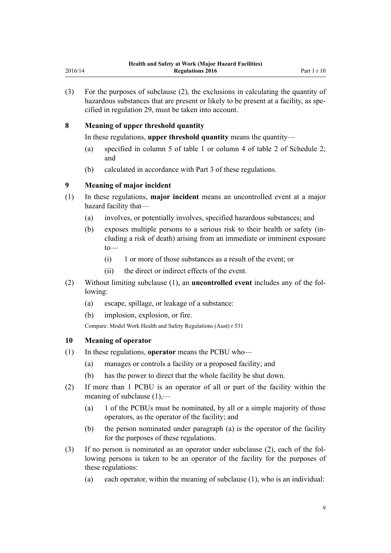<span id="page-8-0"></span>(3) For the purposes of subclause (2), the exclusions in calculating the quantity of hazardous substances that are present or likely to be present at a facility, as specified in [regulation 29](#page-18-0), must be taken into account.

# **8 Meaning of upper threshold quantity**

In these regulations, **upper threshold quantity** means the quantity—

- (a) specified in column 5 of table 1 or column 4 of table 2 of [Schedule 2;](#page-45-0) and
- (b) calculated in accordance with [Part 3](#page-16-0) of these regulations.

# **9 Meaning of major incident**

- (1) In these regulations, **major incident** means an uncontrolled event at a major hazard facility that—
	- (a) involves, or potentially involves, specified hazardous substances; and
	- (b) exposes multiple persons to a serious risk to their health or safety (including a risk of death) arising from an immediate or imminent exposure to—
		- (i) 1 or more of those substances as a result of the event; or
		- (ii) the direct or indirect effects of the event.
- (2) Without limiting subclause (1), an **uncontrolled event** includes any of the following:
	- (a) escape, spillage, or leakage of a substance:
	- (b) implosion, explosion, or fire.

Compare: Model Work Health and Safety Regulations (Aust) r 531

#### **10 Meaning of operator**

- (1) In these regulations, **operator** means the PCBU who—
	- (a) manages or controls a facility or a proposed facility; and
	- (b) has the power to direct that the whole facility be shut down.
- (2) If more than 1 PCBU is an operator of all or part of the facility within the meaning of subclause (1),—
	- (a) 1 of the PCBUs must be nominated, by all or a simple majority of those operators, as the operator of the facility; and
	- (b) the person nominated under paragraph (a) is the operator of the facility for the purposes of these regulations.
- (3) If no person is nominated as an operator under subclause (2), each of the following persons is taken to be an operator of the facility for the purposes of these regulations:
	- (a) each operator, within the meaning of subclause (1), who is an individual: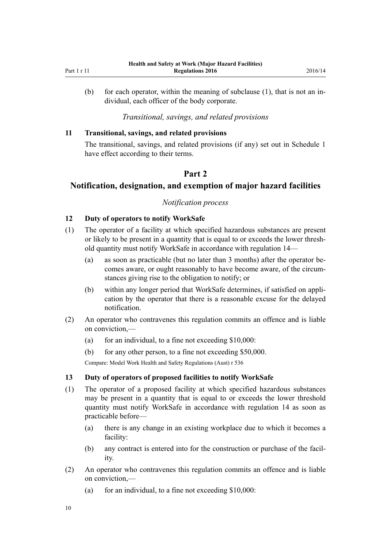<span id="page-9-0"></span>(b) for each operator, within the meaning of subclause (1), that is not an individual, each officer of the body corporate.

#### *Transitional, savings, and related provisions*

#### **11 Transitional, savings, and related provisions**

The transitional, savings, and related provisions (if any) set out in [Schedule 1](#page-43-0) have effect according to their terms.

#### **Part 2**

# **Notification, designation, and exemption of major hazard facilities**

#### *Notification process*

#### **12 Duty of operators to notify WorkSafe**

- (1) The operator of a facility at which specified hazardous substances are present or likely to be present in a quantity that is equal to or exceeds the lower threshold quantity must notify WorkSafe in accordance with [regulation 14](#page-10-0)—
	- (a) as soon as practicable (but no later than 3 months) after the operator becomes aware, or ought reasonably to have become aware, of the circumstances giving rise to the obligation to notify; or
	- (b) within any longer period that WorkSafe determines, if satisfied on application by the operator that there is a reasonable excuse for the delayed notification.
- (2) An operator who contravenes this regulation commits an offence and is liable on conviction,—
	- (a) for an individual, to a fine not exceeding  $$10,000$ :
	- (b) for any other person, to a fine not exceeding \$50,000.

Compare: Model Work Health and Safety Regulations (Aust) r 536

#### **13 Duty of operators of proposed facilities to notify WorkSafe**

- (1) The operator of a proposed facility at which specified hazardous substances may be present in a quantity that is equal to or exceeds the lower threshold quantity must notify WorkSafe in accordance with [regulation 14](#page-10-0) as soon as practicable before—
	- (a) there is any change in an existing workplace due to which it becomes a facility:
	- (b) any contract is entered into for the construction or purchase of the facility.
- (2) An operator who contravenes this regulation commits an offence and is liable on conviction,—
	- (a) for an individual, to a fine not exceeding  $$10,000$ :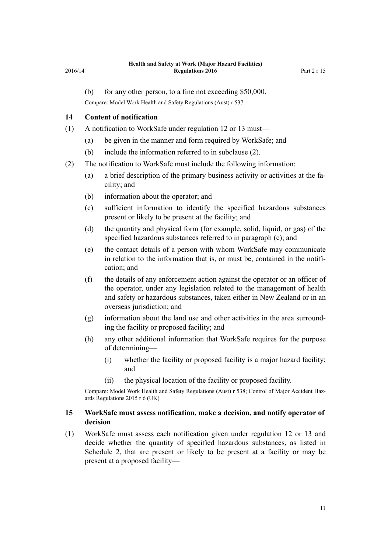<span id="page-10-0"></span>(b) for any other person, to a fine not exceeding \$50,000.

Compare: Model Work Health and Safety Regulations (Aust) r 537

#### **14 Content of notification**

- (1) A notification to WorkSafe under [regulation 12](#page-9-0) or [13](#page-9-0) must—
	- (a) be given in the manner and form required by WorkSafe; and
	- (b) include the information referred to in subclause (2).
- (2) The notification to WorkSafe must include the following information:
	- (a) a brief description of the primary business activity or activities at the facility; and
	- (b) information about the operator; and
	- (c) sufficient information to identify the specified hazardous substances present or likely to be present at the facility; and
	- (d) the quantity and physical form (for example, solid, liquid, or gas) of the specified hazardous substances referred to in paragraph (c); and
	- (e) the contact details of a person with whom WorkSafe may communicate in relation to the information that is, or must be, contained in the notification; and
	- (f) the details of any enforcement action against the operator or an officer of the operator, under any legislation related to the management of health and safety or hazardous substances, taken either in New Zealand or in an overseas jurisdiction; and
	- (g) information about the land use and other activities in the area surrounding the facility or proposed facility; and
	- (h) any other additional information that WorkSafe requires for the purpose of determining—
		- (i) whether the facility or proposed facility is a major hazard facility; and
		- (ii) the physical location of the facility or proposed facility.

Compare: Model Work Health and Safety Regulations (Aust) r 538; Control of Major Accident Hazards Regulations 2015 r 6 (UK)

#### **15 WorkSafe must assess notification, make a decision, and notify operator of decision**

(1) WorkSafe must assess each notification given under [regulation 12](#page-9-0) or [13](#page-9-0) and decide whether the quantity of specified hazardous substances, as listed in [Schedule 2](#page-45-0), that are present or likely to be present at a facility or may be present at a proposed facility—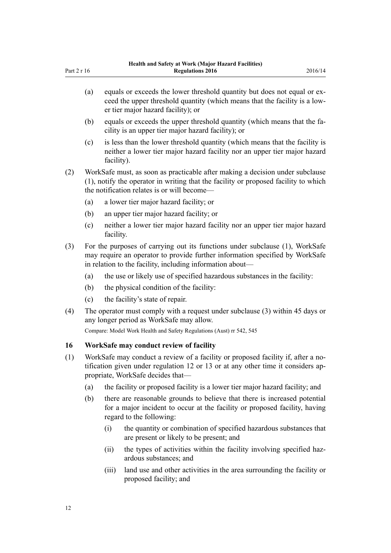<span id="page-11-0"></span>

| Part 2 r 16 |     | Health and Safety at Work (Major Hazard Facilities)<br><b>Regulations 2016</b>                                                                                                                                            | 2016/14 |
|-------------|-----|---------------------------------------------------------------------------------------------------------------------------------------------------------------------------------------------------------------------------|---------|
|             | (a) | equals or exceeds the lower threshold quantity but does not equal or ex-<br>ceed the upper threshold quantity (which means that the facility is a low-<br>er tier major hazard facility); or                              |         |
|             | (b) | equals or exceeds the upper threshold quantity (which means that the fa-<br>cility is an upper tier major hazard facility); or                                                                                            |         |
|             | (c) | is less than the lower threshold quantity (which means that the facility is<br>neither a lower tier major hazard facility nor an upper tier major hazard<br>facility).                                                    |         |
| (2)         |     | WorkSafe must, as soon as practicable after making a decision under subclause<br>(1), notify the operator in writing that the facility or proposed facility to which<br>the notification relates is or will become—       |         |
|             | (a) | a lower tier major hazard facility; or                                                                                                                                                                                    |         |
|             | (b) | an upper tier major hazard facility; or                                                                                                                                                                                   |         |
|             | (c) | neither a lower tier major hazard facility nor an upper tier major hazard<br>facility.                                                                                                                                    |         |
| (3)         |     | For the purposes of carrying out its functions under subclause (1), WorkSafe<br>may require an operator to provide further information specified by WorkSafe<br>in relation to the facility, including information about— |         |
|             | (a) | the use or likely use of specified hazardous substances in the facility:                                                                                                                                                  |         |
|             | (b) | the physical condition of the facility:                                                                                                                                                                                   |         |
|             | (c) | the facility's state of repair.                                                                                                                                                                                           |         |
| (4)         |     | The operator must comply with a request under subclause (3) within 45 days or<br>any longer period as WorkSafe may allow.                                                                                                 |         |
|             |     | Compare: Model Work Health and Safety Regulations (Aust) rr 542, 545                                                                                                                                                      |         |
| 16          |     | WorkSafe may conduct review of facility                                                                                                                                                                                   |         |
| (1)         |     | WorkSafe may conduct a review of a facility or proposed facility if, after a no-<br>tification given under regulation 12 or 13 or at any other time it considers ap-<br>propriate, WorkSafe decides that-                 |         |
|             | (a) | the facility or proposed facility is a lower tier major hazard facility; and                                                                                                                                              |         |
|             | (b) | there are reasonable grounds to believe that there is increased potential<br>for a major incident to occur at the facility or proposed facility, having<br>regard to the following:                                       |         |
|             |     | the quantity or combination of specified hazardous substances that<br>(i)<br>are present or likely to be present; and                                                                                                     |         |

- (ii) the types of activities within the facility involving specified hazardous substances; and
- (iii) land use and other activities in the area surrounding the facility or proposed facility; and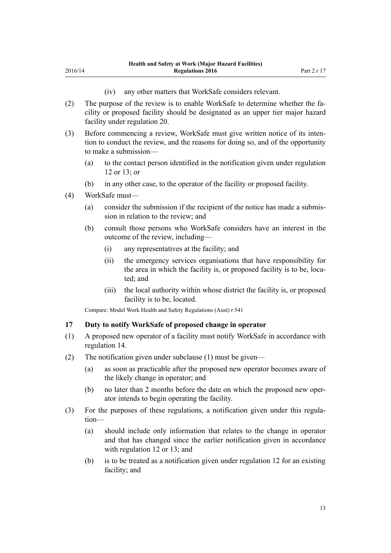(iv) any other matters that WorkSafe considers relevant.

- <span id="page-12-0"></span>(2) The purpose of the review is to enable WorkSafe to determine whether the facility or proposed facility should be designated as an upper tier major hazard facility under [regulation 20.](#page-14-0)
- (3) Before commencing a review, WorkSafe must give written notice of its intention to conduct the review, and the reasons for doing so, and of the opportunity to make a submission—
	- (a) to the contact person identified in the notification given under [regulation](#page-9-0) [12](#page-9-0) or [13;](#page-9-0) or
	- (b) in any other case, to the operator of the facility or proposed facility.
- (4) WorkSafe must—
	- (a) consider the submission if the recipient of the notice has made a submission in relation to the review; and
	- (b) consult those persons who WorkSafe considers have an interest in the outcome of the review, including—
		- (i) any representatives at the facility; and
		- (ii) the emergency services organisations that have responsibility for the area in which the facility is, or proposed facility is to be, located; and
		- (iii) the local authority within whose district the facility is, or proposed facility is to be, located.

Compare: Model Work Health and Safety Regulations (Aust) r 541

#### **17 Duty to notify WorkSafe of proposed change in operator**

- (1) A proposed new operator of a facility must notify WorkSafe in accordance with [regulation 14](#page-10-0).
- (2) The notification given under subclause (1) must be given—
	- (a) as soon as practicable after the proposed new operator becomes aware of the likely change in operator; and
	- (b) no later than 2 months before the date on which the proposed new operator intends to begin operating the facility.
- (3) For the purposes of these regulations, a notification given under this regulation—
	- (a) should include only information that relates to the change in operator and that has changed since the earlier notification given in accordance with [regulation 12](#page-9-0) or [13](#page-9-0); and
	- (b) is to be treated as a notification given under [regulation 12](#page-9-0) for an existing facility; and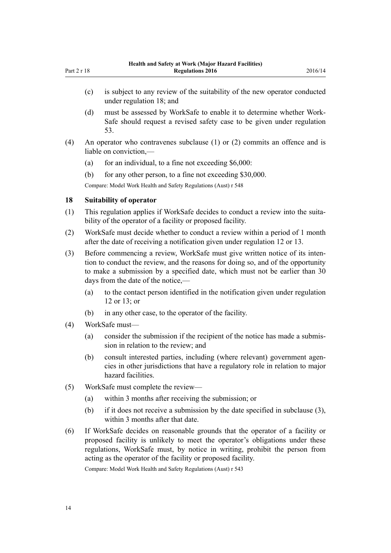- (c) is subject to any review of the suitability of the new operator conducted under regulation 18; and
- (d) must be assessed by WorkSafe to enable it to determine whether Work-Safe should request a revised safety case to be given under [regulation](#page-32-0) [53.](#page-32-0)
- (4) An operator who contravenes subclause (1) or (2) commits an offence and is liable on conviction,—
	- (a) for an individual, to a fine not exceeding  $$6,000$ :
	- (b) for any other person, to a fine not exceeding \$30,000.

Compare: Model Work Health and Safety Regulations (Aust) r 548

#### **18 Suitability of operator**

<span id="page-13-0"></span>Part 2 r 18

- (1) This regulation applies if WorkSafe decides to conduct a review into the suitability of the operator of a facility or proposed facility.
- (2) WorkSafe must decide whether to conduct a review within a period of 1 month after the date of receiving a notification given under [regulation 12](#page-9-0) or [13](#page-9-0).
- (3) Before commencing a review, WorkSafe must give written notice of its intention to conduct the review, and the reasons for doing so, and of the opportunity to make a submission by a specified date, which must not be earlier than 30 days from the date of the notice,—
	- (a) to the contact person identified in the notification given under [regulation](#page-9-0) [12](#page-9-0) or [13;](#page-9-0) or
	- (b) in any other case, to the operator of the facility.
- (4) WorkSafe must—
	- (a) consider the submission if the recipient of the notice has made a submission in relation to the review; and
	- (b) consult interested parties, including (where relevant) government agencies in other jurisdictions that have a regulatory role in relation to major hazard facilities.
- (5) WorkSafe must complete the review—
	- (a) within 3 months after receiving the submission; or
	- (b) if it does not receive a submission by the date specified in subclause (3), within 3 months after that date.
- (6) If WorkSafe decides on reasonable grounds that the operator of a facility or proposed facility is unlikely to meet the operator's obligations under these regulations, WorkSafe must, by notice in writing, prohibit the person from acting as the operator of the facility or proposed facility.

Compare: Model Work Health and Safety Regulations (Aust) r 543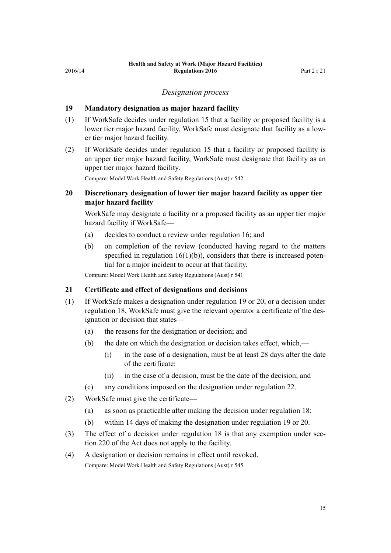#### *Designation process*

#### <span id="page-14-0"></span>**19 Mandatory designation as major hazard facility**

- (1) If WorkSafe decides under [regulation 15](#page-10-0) that a facility or proposed facility is a lower tier major hazard facility, WorkSafe must designate that facility as a lower tier major hazard facility.
- (2) If WorkSafe decides under [regulation 15](#page-10-0) that a facility or proposed facility is an upper tier major hazard facility, WorkSafe must designate that facility as an upper tier major hazard facility.

Compare: Model Work Health and Safety Regulations (Aust) r 542

### **20 Discretionary designation of lower tier major hazard facility as upper tier major hazard facility**

WorkSafe may designate a facility or a proposed facility as an upper tier major hazard facility if WorkSafe—

- (a) decides to conduct a review under [regulation 16;](#page-11-0) and
- (b) on completion of the review (conducted having regard to the matters specified in regulation  $16(1)(b)$ , considers that there is increased potential for a major incident to occur at that facility.

Compare: Model Work Health and Safety Regulations (Aust) r 541

#### **21 Certificate and effect of designations and decisions**

- (1) If WorkSafe makes a designation under regulation 19 or 20, or a decision under [regulation 18](#page-13-0), WorkSafe must give the relevant operator a certificate of the designation or decision that states—
	- (a) the reasons for the designation or decision; and
	- (b) the date on which the designation or decision takes effect, which,—
		- (i) in the case of a designation, must be at least 28 days after the date of the certificate:
		- (ii) in the case of a decision, must be the date of the decision; and
	- (c) any conditions imposed on the designation under [regulation 22.](#page-15-0)
- (2) WorkSafe must give the certificate—
	- (a) as soon as practicable after making the decision under [regulation 18:](#page-13-0)
	- (b) within 14 days of making the designation under regulation 19 or 20.
- (3) The effect of a decision under [regulation 18](#page-13-0) is that any exemption under [sec](http://prd-lgnz-nlb.prd.pco.net.nz/pdflink.aspx?id=DLM6544175)[tion 220](http://prd-lgnz-nlb.prd.pco.net.nz/pdflink.aspx?id=DLM6544175) of the Act does not apply to the facility.
- (4) A designation or decision remains in effect until revoked.

Compare: Model Work Health and Safety Regulations (Aust) r 545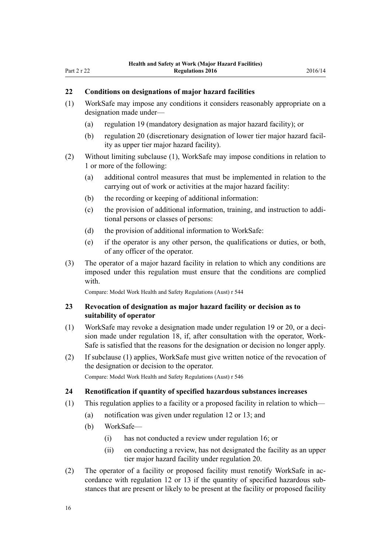#### <span id="page-15-0"></span>**22 Conditions on designations of major hazard facilities**

- (1) WorkSafe may impose any conditions it considers reasonably appropriate on a designation made under—
	- (a) [regulation 19](#page-14-0) (mandatory designation as major hazard facility); or
	- (b) [regulation 20](#page-14-0) (discretionary designation of lower tier major hazard facility as upper tier major hazard facility).
- (2) Without limiting subclause (1), WorkSafe may impose conditions in relation to 1 or more of the following:
	- (a) additional control measures that must be implemented in relation to the carrying out of work or activities at the major hazard facility:
	- (b) the recording or keeping of additional information:
	- (c) the provision of additional information, training, and instruction to additional persons or classes of persons:
	- (d) the provision of additional information to WorkSafe:
	- (e) if the operator is any other person, the qualifications or duties, or both, of any officer of the operator.
- (3) The operator of a major hazard facility in relation to which any conditions are imposed under this regulation must ensure that the conditions are complied with.

Compare: Model Work Health and Safety Regulations (Aust) r 544

#### **23 Revocation of designation as major hazard facility or decision as to suitability of operator**

- (1) WorkSafe may revoke a designation made under [regulation 19](#page-14-0) or [20](#page-14-0), or a decision made under [regulation 18,](#page-13-0) if, after consultation with the operator, Work-Safe is satisfied that the reasons for the designation or decision no longer apply.
- (2) If subclause (1) applies, WorkSafe must give written notice of the revocation of the designation or decision to the operator. Compare: Model Work Health and Safety Regulations (Aust) r 546

#### **24 Renotification if quantity of specified hazardous substances increases**

- (1) This regulation applies to a facility or a proposed facility in relation to which—
	- (a) notification was given under [regulation 12](#page-9-0) or [13](#page-9-0); and
	- (b) WorkSafe—
		- (i) has not conducted a review under [regulation 16](#page-11-0); or
		- (ii) on conducting a review, has not designated the facility as an upper tier major hazard facility under [regulation 20](#page-14-0).
- (2) The operator of a facility or proposed facility must renotify WorkSafe in accordance with [regulation 12](#page-9-0) or [13](#page-9-0) if the quantity of specified hazardous substances that are present or likely to be present at the facility or proposed facility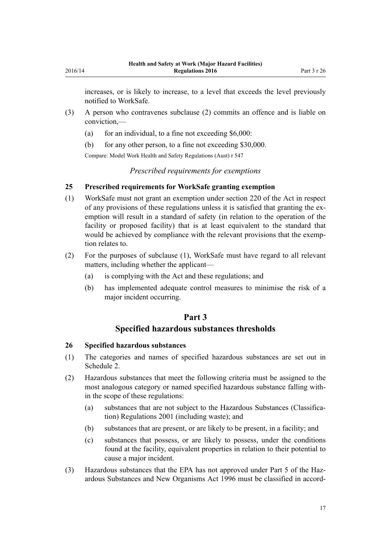<span id="page-16-0"></span>increases, or is likely to increase, to a level that exceeds the level previously notified to WorkSafe.

- (3) A person who contravenes subclause (2) commits an offence and is liable on conviction,—
	- (a) for an individual, to a fine not exceeding  $$6,000$ :
	- (b) for any other person, to a fine not exceeding \$30,000.

Compare: Model Work Health and Safety Regulations (Aust) r 547

*Prescribed requirements for exemptions*

#### **25 Prescribed requirements for WorkSafe granting exemption**

- (1) WorkSafe must not grant an exemption under [section 220](http://prd-lgnz-nlb.prd.pco.net.nz/pdflink.aspx?id=DLM6544175) of the Act in respect of any provisions of these regulations unless it is satisfied that granting the exemption will result in a standard of safety (in relation to the operation of the facility or proposed facility) that is at least equivalent to the standard that would be achieved by compliance with the relevant provisions that the exemption relates to.
- (2) For the purposes of subclause (1), WorkSafe must have regard to all relevant matters, including whether the applicant—
	- (a) is complying with the Act and these regulations; and
	- (b) has implemented adequate control measures to minimise the risk of a major incident occurring.

# **Part 3**

#### **Specified hazardous substances thresholds**

#### **26 Specified hazardous substances**

- (1) The categories and names of specified hazardous substances are set out in [Schedule 2.](#page-45-0)
- (2) Hazardous substances that meet the following criteria must be assigned to the most analogous category or named specified hazardous substance falling within the scope of these regulations:
	- (a) substances that are not subject to the [Hazardous Substances \(Classifica](http://prd-lgnz-nlb.prd.pco.net.nz/pdflink.aspx?id=DLM33832)[tion\) Regulations 2001](http://prd-lgnz-nlb.prd.pco.net.nz/pdflink.aspx?id=DLM33832) (including waste); and
	- (b) substances that are present, or are likely to be present, in a facility; and
	- (c) substances that possess, or are likely to possess, under the conditions found at the facility, equivalent properties in relation to their potential to cause a major incident.
- (3) Hazardous substances that the EPA has not approved under [Part 5](http://prd-lgnz-nlb.prd.pco.net.nz/pdflink.aspx?id=DLM383157) of the Hazardous Substances and New Organisms Act 1996 must be classified in accord-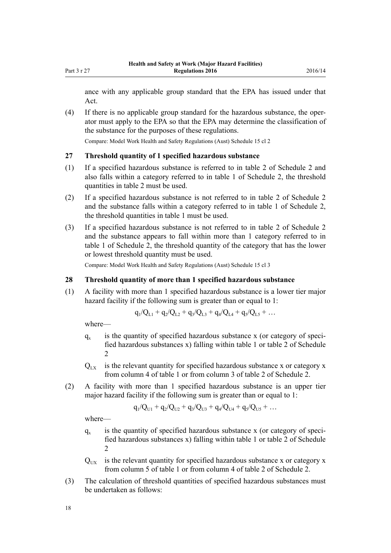<span id="page-17-0"></span>ance with any applicable group standard that the EPA has issued under that Act.

(4) If there is no applicable group standard for the hazardous substance, the operator must apply to the EPA so that the EPA may determine the classification of the substance for the purposes of these regulations.

Compare: Model Work Health and Safety Regulations (Aust) Schedule 15 cl 2

#### **27 Threshold quantity of 1 specified hazardous substance**

- (1) If a specified hazardous substance is referred to in table 2 of [Schedule 2](#page-45-0) and also falls within a category referred to in table 1 of Schedule 2, the threshold quantities in table 2 must be used.
- (2) If a specified hazardous substance is not referred to in table 2 of [Schedule 2](#page-45-0) and the substance falls within a category referred to in table 1 of Schedule 2, the threshold quantities in table 1 must be used.
- (3) If a specified hazardous substance is not referred to in table 2 of [Schedule 2](#page-45-0) and the substance appears to fall within more than 1 category referred to in table 1 of Schedule 2, the threshold quantity of the category that has the lower or lowest threshold quantity must be used.

Compare: Model Work Health and Safety Regulations (Aust) Schedule 15 cl 3

#### **28 Threshold quantity of more than 1 specified hazardous substance**

(1) A facility with more than 1 specified hazardous substance is a lower tier major hazard facility if the following sum is greater than or equal to 1:

$$
q_1/Q_{L1} + q_2/Q_{L2} + q_3/Q_{L3} + q_4/Q_{L4} + q_5/Q_{L5} + \dots
$$

where—

- $q_{x}$ is the quantity of specified hazardous substance x (or category of specified hazardous substances x) falling within table 1 or table 2 of [Schedule](#page-45-0) [2](#page-45-0)
- $Q_{\text{rx}}$  is the relevant quantity for specified hazardous substance x or category x from column 4 of table 1 or from column 3 of table 2 of [Schedule 2.](#page-45-0)
- (2) A facility with more than 1 specified hazardous substance is an upper tier major hazard facility if the following sum is greater than or equal to 1:

$$
q_1/Q_{U1} + q_2/Q_{U2} + q_3/Q_{U3} + q_4/Q_{U4} + q_5/Q_{U5} + \dots
$$

where—

- $q_{x}$ is the quantity of specified hazardous substance x (or category of specified hazardous substances x) falling within table 1 or table 2 of [Schedule](#page-45-0)  $\mathfrak{D}$
- $Q<sub>UV</sub>$  is the relevant quantity for specified hazardous substance x or category x from column 5 of table 1 or from column 4 of table 2 of [Schedule 2.](#page-45-0)
- (3) The calculation of threshold quantities of specified hazardous substances must be undertaken as follows: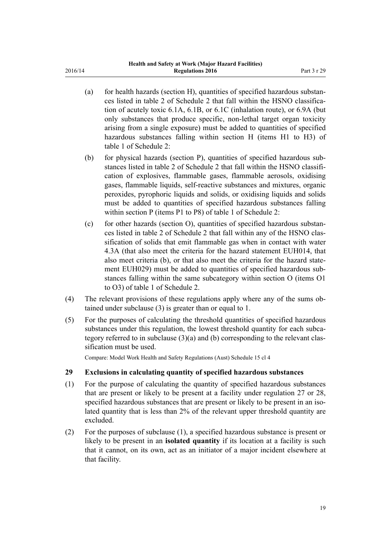- <span id="page-18-0"></span>(a) for health hazards (section H), quantities of specified hazardous substances listed in table 2 of [Schedule 2](#page-45-0) that fall within the HSNO classification of acutely toxic 6.1A, 6.1B, or 6.1C (inhalation route), or 6.9A (but only substances that produce specific, non-lethal target organ toxicity arising from a single exposure) must be added to quantities of specified hazardous substances falling within section H (items H1 to H3) of table 1 of Schedule 2:
- (b) for physical hazards (section P), quantities of specified hazardous substances listed in table 2 of [Schedule 2](#page-45-0) that fall within the HSNO classification of explosives, flammable gases, flammable aerosols, oxidising gases, flammable liquids, self-reactive substances and mixtures, organic peroxides, pyrophoric liquids and solids, or oxidising liquids and solids must be added to quantities of specified hazardous substances falling within section P (items P1 to P8) of table 1 of Schedule 2:
- (c) for other hazards (section O), quantities of specified hazardous substances listed in table 2 of [Schedule 2](#page-45-0) that fall within any of the HSNO classification of solids that emit flammable gas when in contact with water 4.3A (that also meet the criteria for the hazard statement EUH014, that also meet criteria (b), or that also meet the criteria for the hazard statement EUH029) must be added to quantities of specified hazardous substances falling within the same subcategory within section O (items O1 to O3) of table 1 of Schedule 2.
- (4) The relevant provisions of these regulations apply where any of the sums obtained under subclause (3) is greater than or equal to 1.
- (5) For the purposes of calculating the threshold quantities of specified hazardous substances under this regulation, the lowest threshold quantity for each subcategory referred to in subclause (3)(a) and (b) corresponding to the relevant classification must be used.

Compare: Model Work Health and Safety Regulations (Aust) Schedule 15 cl 4

#### **29 Exclusions in calculating quantity of specified hazardous substances**

- (1) For the purpose of calculating the quantity of specified hazardous substances that are present or likely to be present at a facility under [regulation 27](#page-17-0) or [28](#page-17-0), specified hazardous substances that are present or likely to be present in an isolated quantity that is less than 2% of the relevant upper threshold quantity are excluded.
- (2) For the purposes of subclause (1), a specified hazardous substance is present or likely to be present in an **isolated quantity** if its location at a facility is such that it cannot, on its own, act as an initiator of a major incident elsewhere at that facility.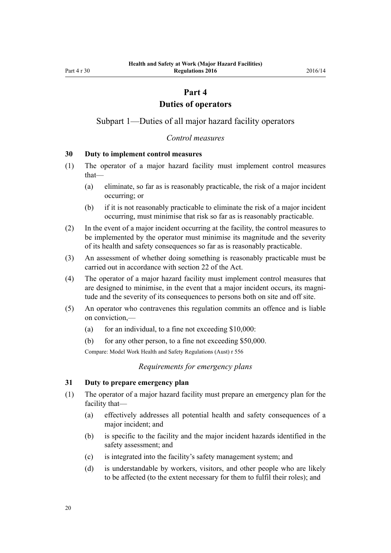#### **Part 4**

#### **Duties of operators**

<span id="page-19-0"></span>Subpart 1—Duties of all major hazard facility operators

#### *Control measures*

#### **30 Duty to implement control measures**

- (1) The operator of a major hazard facility must implement control measures that—
	- (a) eliminate, so far as is reasonably practicable, the risk of a major incident occurring; or
	- (b) if it is not reasonably practicable to eliminate the risk of a major incident occurring, must minimise that risk so far as is reasonably practicable.
- (2) In the event of a major incident occurring at the facility, the control measures to be implemented by the operator must minimise its magnitude and the severity of its health and safety consequences so far as is reasonably practicable.
- (3) An assessment of whether doing something is reasonably practicable must be carried out in accordance with [section 22](http://prd-lgnz-nlb.prd.pco.net.nz/pdflink.aspx?id=DLM5976866) of the Act.
- (4) The operator of a major hazard facility must implement control measures that are designed to minimise, in the event that a major incident occurs, its magnitude and the severity of its consequences to persons both on site and off site.
- (5) An operator who contravenes this regulation commits an offence and is liable on conviction,—
	- (a) for an individual, to a fine not exceeding  $$10,000$ :
	- (b) for any other person, to a fine not exceeding \$50,000.

Compare: Model Work Health and Safety Regulations (Aust) r 556

*Requirements for emergency plans*

#### **31 Duty to prepare emergency plan**

- (1) The operator of a major hazard facility must prepare an emergency plan for the facility that—
	- (a) effectively addresses all potential health and safety consequences of a major incident; and
	- (b) is specific to the facility and the major incident hazards identified in the safety assessment; and
	- (c) is integrated into the facility's safety management system; and
	- (d) is understandable by workers, visitors, and other people who are likely to be affected (to the extent necessary for them to fulfil their roles); and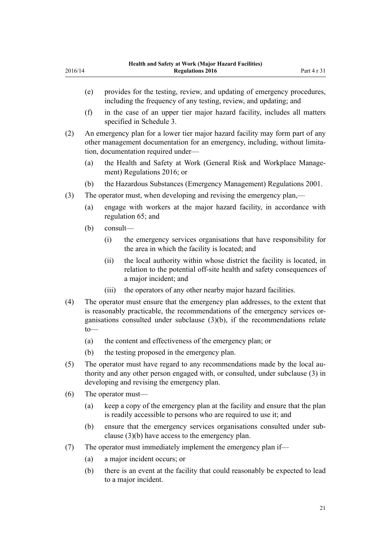- (e) provides for the testing, review, and updating of emergency procedures, including the frequency of any testing, review, and updating; and
- (f) in the case of an upper tier major hazard facility, includes all matters specified in [Schedule 3](#page-56-0).
- (2) An emergency plan for a lower tier major hazard facility may form part of any other management documentation for an emergency, including, without limitation, documentation required under—
	- (a) the [Health and Safety at Work \(General Risk and Workplace Manage](http://prd-lgnz-nlb.prd.pco.net.nz/pdflink.aspx?id=DLM6727529)[ment\) Regulations 2016;](http://prd-lgnz-nlb.prd.pco.net.nz/pdflink.aspx?id=DLM6727529) or
	- (b) the [Hazardous Substances \(Emergency Management\) Regulations 2001.](http://prd-lgnz-nlb.prd.pco.net.nz/pdflink.aspx?id=DLM43172)
- (3) The operator must, when developing and revising the emergency plan,—
	- (a) engage with workers at the major hazard facility, in accordance with [regulation 65](#page-39-0); and
	- (b) consult—
		- (i) the emergency services organisations that have responsibility for the area in which the facility is located; and
		- (ii) the local authority within whose district the facility is located, in relation to the potential off-site health and safety consequences of a major incident; and
		- (iii) the operators of any other nearby major hazard facilities.
- (4) The operator must ensure that the emergency plan addresses, to the extent that is reasonably practicable, the recommendations of the emergency services organisations consulted under subclause (3)(b), if the recommendations relate to—
	- (a) the content and effectiveness of the emergency plan; or
	- (b) the testing proposed in the emergency plan.
- (5) The operator must have regard to any recommendations made by the local authority and any other person engaged with, or consulted, under subclause (3) in developing and revising the emergency plan.
- (6) The operator must—
	- (a) keep a copy of the emergency plan at the facility and ensure that the plan is readily accessible to persons who are required to use it; and
	- (b) ensure that the emergency services organisations consulted under subclause (3)(b) have access to the emergency plan.
- (7) The operator must immediately implement the emergency plan if—
	- (a) a major incident occurs; or
	- (b) there is an event at the facility that could reasonably be expected to lead to a major incident.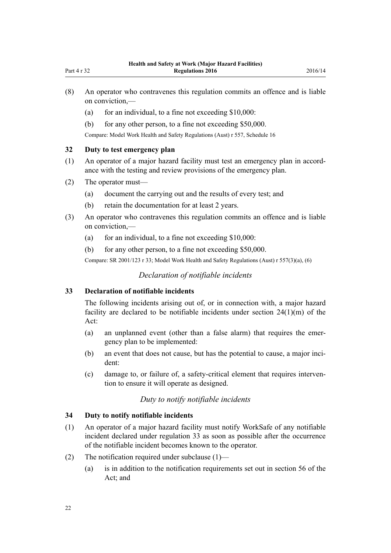- <span id="page-21-0"></span>(a) for an individual, to a fine not exceeding  $$10,000$ :
- (b) for any other person, to a fine not exceeding \$50,000.

Compare: Model Work Health and Safety Regulations (Aust) r 557, Schedule 16

#### **32 Duty to test emergency plan**

- (1) An operator of a major hazard facility must test an emergency plan in accordance with the testing and review provisions of the emergency plan.
- (2) The operator must—
	- (a) document the carrying out and the results of every test; and
	- (b) retain the documentation for at least 2 years.
- (3) An operator who contravenes this regulation commits an offence and is liable on conviction,—
	- (a) for an individual, to a fine not exceeding  $$10,000$ :
	- (b) for any other person, to a fine not exceeding \$50,000.

Compare: SR 2001/123 [r 33;](http://prd-lgnz-nlb.prd.pco.net.nz/pdflink.aspx?id=DLM43880) Model Work Health and Safety Regulations (Aust) r 557(3)(a), (6)

#### *Declaration of notifiable incidents*

#### **33 Declaration of notifiable incidents**

The following incidents arising out of, or in connection with, a major hazard facility are declared to be notifiable incidents under [section 24\(1\)\(m\)](http://prd-lgnz-nlb.prd.pco.net.nz/pdflink.aspx?id=DLM5976877) of the Act:

- (a) an unplanned event (other than a false alarm) that requires the emergency plan to be implemented:
- (b) an event that does not cause, but has the potential to cause, a major incident:
- (c) damage to, or failure of, a safety-critical element that requires intervention to ensure it will operate as designed.

### *Duty to notify notifiable incidents*

#### **34 Duty to notify notifiable incidents**

- (1) An operator of a major hazard facility must notify WorkSafe of any notifiable incident declared under regulation 33 as soon as possible after the occurrence of the notifiable incident becomes known to the operator.
- (2) The notification required under subclause (1)—
	- (a) is in addition to the notification requirements set out in [section 56](http://prd-lgnz-nlb.prd.pco.net.nz/pdflink.aspx?id=DLM6544144) of the Act; and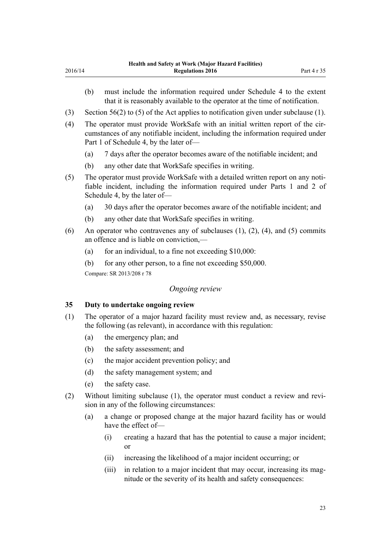- (b) must include the information required under [Schedule 4](#page-58-0) to the extent that it is reasonably available to the operator at the time of notification.
- (3) [Section 56\(2\) to \(5\)](http://prd-lgnz-nlb.prd.pco.net.nz/pdflink.aspx?id=DLM6544144) of the Act applies to notification given under subclause (1).
- (4) The operator must provide WorkSafe with an initial written report of the circumstances of any notifiable incident, including the information required under [Part 1](#page-58-0) of Schedule 4, by the later of—
	- (a) 7 days after the operator becomes aware of the notifiable incident; and
	- (b) any other date that WorkSafe specifies in writing.
- (5) The operator must provide WorkSafe with a detailed written report on any notifiable incident, including the information required under [Parts 1](#page-58-0) and [2](#page-59-0) of Schedule 4, by the later of—
	- (a) 30 days after the operator becomes aware of the notifiable incident; and
	- (b) any other date that WorkSafe specifies in writing.
- (6) An operator who contravenes any of subclauses  $(1)$ ,  $(2)$ ,  $(4)$ , and  $(5)$  commits an offence and is liable on conviction,—
	- (a) for an individual, to a fine not exceeding  $$10,000$ :
	- (b) for any other person, to a fine not exceeding \$50,000.

Compare: SR 2013/208 [r 78](http://prd-lgnz-nlb.prd.pco.net.nz/pdflink.aspx?id=DLM5203500)

<span id="page-22-0"></span>2016/14

#### *Ongoing review*

#### **35 Duty to undertake ongoing review**

- (1) The operator of a major hazard facility must review and, as necessary, revise the following (as relevant), in accordance with this regulation:
	- (a) the emergency plan; and
	- (b) the safety assessment; and
	- (c) the major accident prevention policy; and
	- (d) the safety management system; and
	- (e) the safety case.
- (2) Without limiting subclause (1), the operator must conduct a review and revision in any of the following circumstances:
	- (a) a change or proposed change at the major hazard facility has or would have the effect of—
		- (i) creating a hazard that has the potential to cause a major incident; or
		- (ii) increasing the likelihood of a major incident occurring; or
		- (iii) in relation to a major incident that may occur, increasing its magnitude or the severity of its health and safety consequences: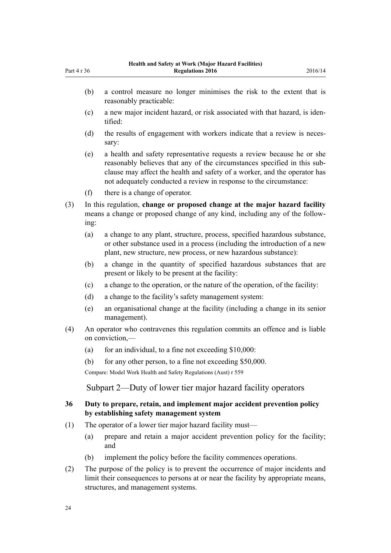- (b) a control measure no longer minimises the risk to the extent that is reasonably practicable:
- (c) a new major incident hazard, or risk associated with that hazard, is identified:
- (d) the results of engagement with workers indicate that a review is necessary:
- (e) a health and safety representative requests a review because he or she reasonably believes that any of the circumstances specified in this subclause may affect the health and safety of a worker, and the operator has not adequately conducted a review in response to the circumstance:
- (f) there is a change of operator.

<span id="page-23-0"></span>Part 4 r 36

- (3) In this regulation, **change or proposed change at the major hazard facility** means a change or proposed change of any kind, including any of the following:
	- (a) a change to any plant, structure, process, specified hazardous substance, or other substance used in a process (including the introduction of a new plant, new structure, new process, or new hazardous substance):
	- (b) a change in the quantity of specified hazardous substances that are present or likely to be present at the facility:
	- (c) a change to the operation, or the nature of the operation, of the facility:
	- (d) a change to the facility's safety management system:
	- (e) an organisational change at the facility (including a change in its senior management).
- (4) An operator who contravenes this regulation commits an offence and is liable on conviction,—
	- (a) for an individual, to a fine not exceeding  $$10,000$ :
	- (b) for any other person, to a fine not exceeding \$50,000.

Compare: Model Work Health and Safety Regulations (Aust) r 559

Subpart 2—Duty of lower tier major hazard facility operators

#### **36 Duty to prepare, retain, and implement major accident prevention policy by establishing safety management system**

- (1) The operator of a lower tier major hazard facility must—
	- (a) prepare and retain a major accident prevention policy for the facility; and
	- (b) implement the policy before the facility commences operations.
- (2) The purpose of the policy is to prevent the occurrence of major incidents and limit their consequences to persons at or near the facility by appropriate means, structures, and management systems.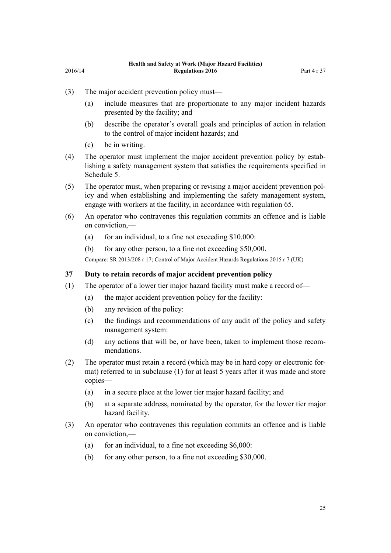- <span id="page-24-0"></span>(3) The major accident prevention policy must—
	- (a) include measures that are proportionate to any major incident hazards presented by the facility; and
	- (b) describe the operator's overall goals and principles of action in relation to the control of major incident hazards; and
	- (c) be in writing.
- (4) The operator must implement the major accident prevention policy by establishing a safety management system that satisfies the requirements specified in [Schedule 5.](#page-60-0)
- (5) The operator must, when preparing or revising a major accident prevention policy and when establishing and implementing the safety management system, engage with workers at the facility, in accordance with [regulation 65](#page-39-0).
- (6) An operator who contravenes this regulation commits an offence and is liable on conviction,—
	- (a) for an individual, to a fine not exceeding  $$10,000$ :
	- (b) for any other person, to a fine not exceeding \$50,000.

Compare: SR 2013/208 [r 17;](http://prd-lgnz-nlb.prd.pco.net.nz/pdflink.aspx?id=DLM5202517) Control of Major Accident Hazards Regulations 2015 r 7 (UK)

#### **37 Duty to retain records of major accident prevention policy**

- (1) The operator of a lower tier major hazard facility must make a record of—
	- (a) the major accident prevention policy for the facility:
	- (b) any revision of the policy:
	- (c) the findings and recommendations of any audit of the policy and safety management system:
	- (d) any actions that will be, or have been, taken to implement those recommendations.
- (2) The operator must retain a record (which may be in hard copy or electronic format) referred to in subclause (1) for at least 5 years after it was made and store copies—
	- (a) in a secure place at the lower tier major hazard facility; and
	- (b) at a separate address, nominated by the operator, for the lower tier major hazard facility.
- (3) An operator who contravenes this regulation commits an offence and is liable on conviction,—
	- (a) for an individual, to a fine not exceeding  $$6,000$ :
	- (b) for any other person, to a fine not exceeding \$30,000.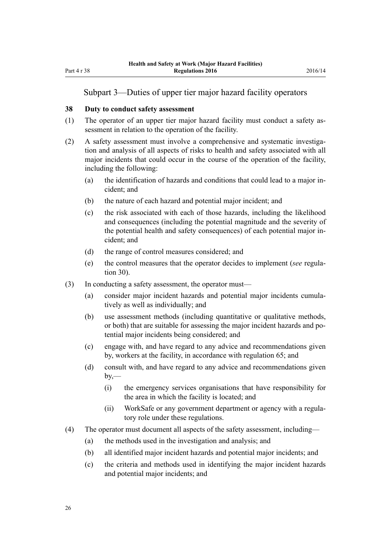#### <span id="page-25-0"></span>Subpart 3—Duties of upper tier major hazard facility operators

#### **38 Duty to conduct safety assessment**

- (1) The operator of an upper tier major hazard facility must conduct a safety assessment in relation to the operation of the facility.
- (2) A safety assessment must involve a comprehensive and systematic investigation and analysis of all aspects of risks to health and safety associated with all major incidents that could occur in the course of the operation of the facility, including the following:
	- (a) the identification of hazards and conditions that could lead to a major incident; and
	- (b) the nature of each hazard and potential major incident; and
	- (c) the risk associated with each of those hazards, including the likelihood and consequences (including the potential magnitude and the severity of the potential health and safety consequences) of each potential major incident; and
	- (d) the range of control measures considered; and
	- (e) the control measures that the operator decides to implement (*see* [regula](#page-19-0)[tion 30](#page-19-0)).
- (3) In conducting a safety assessment, the operator must—
	- (a) consider major incident hazards and potential major incidents cumulatively as well as individually; and
	- (b) use assessment methods (including quantitative or qualitative methods, or both) that are suitable for assessing the major incident hazards and potential major incidents being considered; and
	- (c) engage with, and have regard to any advice and recommendations given by, workers at the facility, in accordance with [regulation 65](#page-39-0); and
	- (d) consult with, and have regard to any advice and recommendations given  $by -$ 
		- (i) the emergency services organisations that have responsibility for the area in which the facility is located; and
		- (ii) WorkSafe or any government department or agency with a regulatory role under these regulations.
- (4) The operator must document all aspects of the safety assessment, including—
	- (a) the methods used in the investigation and analysis; and
	- (b) all identified major incident hazards and potential major incidents; and
	- (c) the criteria and methods used in identifying the major incident hazards and potential major incidents; and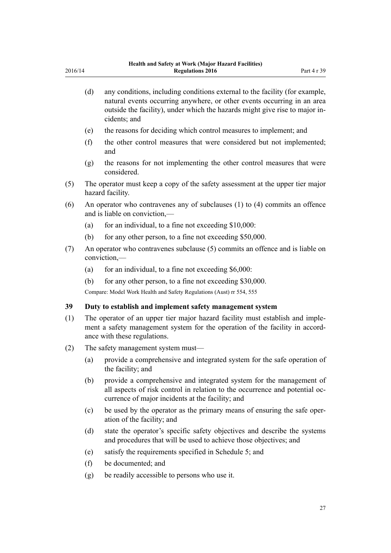<span id="page-26-0"></span>

| 2016/14 |     | Health and Safety at Work (Major Hazard Facilities)<br><b>Regulations 2016</b>                                                                                                                                                                        | Part 4 r 39 |
|---------|-----|-------------------------------------------------------------------------------------------------------------------------------------------------------------------------------------------------------------------------------------------------------|-------------|
|         | (d) | any conditions, including conditions external to the facility (for example,<br>natural events occurring anywhere, or other events occurring in an area<br>outside the facility), under which the hazards might give rise to major in-<br>cidents; and |             |
|         | (e) | the reasons for deciding which control measures to implement; and                                                                                                                                                                                     |             |
|         | (f) | the other control measures that were considered but not implemented;<br>and                                                                                                                                                                           |             |
|         | (g) | the reasons for not implementing the other control measures that were<br>considered.                                                                                                                                                                  |             |
| (5)     |     | The operator must keep a copy of the safety assessment at the upper tier major<br>hazard facility.                                                                                                                                                    |             |
| (6)     |     | An operator who contravenes any of subclauses $(1)$ to $(4)$ commits an offence<br>and is liable on conviction,—                                                                                                                                      |             |
|         | (a) | for an individual, to a fine not exceeding \$10,000:                                                                                                                                                                                                  |             |
|         | (b) | for any other person, to a fine not exceeding \$50,000.                                                                                                                                                                                               |             |
| (7)     |     | An operator who contravenes subclause (5) commits an offence and is liable on<br>$conviction, \text{---}$                                                                                                                                             |             |
|         | (a) | for an individual, to a fine not exceeding \$6,000:                                                                                                                                                                                                   |             |
|         | (b) | for any other person, to a fine not exceeding \$30,000.                                                                                                                                                                                               |             |
|         |     | Compare: Model Work Health and Safety Regulations (Aust) rr 554, 555                                                                                                                                                                                  |             |
| 39      |     | Duty to establish and implement safety management system                                                                                                                                                                                              |             |
| (1)     |     | The operator of an upper tier major hazard facility must establish and imple-<br>ment a safety management system for the operation of the facility in accord-<br>ance with these regulations.                                                         |             |
| (2)     |     | The safety management system must—                                                                                                                                                                                                                    |             |
|         | (a) | provide a comprehensive and integrated system for the safe operation of<br>the facility; and                                                                                                                                                          |             |
|         | (b) | provide a comprehensive and integrated system for the management of<br>all aspects of risk control in relation to the occurrence and potential oc-<br>currence of major incidents at the facility; and                                                |             |
|         | (c) | be used by the operator as the primary means of ensuring the safe oper-<br>ation of the facility; and                                                                                                                                                 |             |
|         | (d) | state the operator's specific safety objectives and describe the systems<br>and procedures that will be used to achieve those objectives; and                                                                                                         |             |
|         | (e) | satisfy the requirements specified in Schedule 5; and                                                                                                                                                                                                 |             |
|         | (f) | be documented; and                                                                                                                                                                                                                                    |             |
|         | (g) | be readily accessible to persons who use it.                                                                                                                                                                                                          |             |
|         |     |                                                                                                                                                                                                                                                       |             |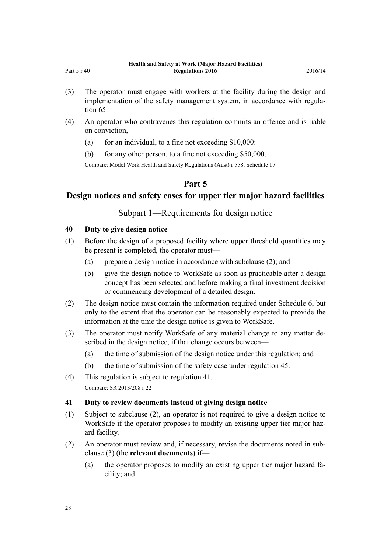- <span id="page-27-0"></span>(3) The operator must engage with workers at the facility during the design and implementation of the safety management system, in accordance with [regula](#page-39-0)[tion 65](#page-39-0).
- (4) An operator who contravenes this regulation commits an offence and is liable on conviction,—
	- (a) for an individual, to a fine not exceeding  $$10,000$ :
	- (b) for any other person, to a fine not exceeding \$50,000.

Compare: Model Work Health and Safety Regulations (Aust) r 558, Schedule 17

# **Part 5**

# **Design notices and safety cases for upper tier major hazard facilities**

Subpart 1—Requirements for design notice

# **40 Duty to give design notice**

- (1) Before the design of a proposed facility where upper threshold quantities may be present is completed, the operator must—
	- (a) prepare a design notice in accordance with subclause (2); and
	- (b) give the design notice to WorkSafe as soon as practicable after a design concept has been selected and before making a final investment decision or commencing development of a detailed design.
- (2) The design notice must contain the information required under [Schedule 6](#page-63-0), but only to the extent that the operator can be reasonably expected to provide the information at the time the design notice is given to WorkSafe.
- (3) The operator must notify WorkSafe of any material change to any matter described in the design notice, if that change occurs between—
	- (a) the time of submission of the design notice under this regulation; and
	- (b) the time of submission of the safety case under [regulation 45.](#page-29-0)
- (4) This regulation is subject to regulation 41. Compare: SR 2013/208 [r 22](http://prd-lgnz-nlb.prd.pco.net.nz/pdflink.aspx?id=DLM5202577)

#### **41 Duty to review documents instead of giving design notice**

- (1) Subject to subclause (2), an operator is not required to give a design notice to WorkSafe if the operator proposes to modify an existing upper tier major hazard facility.
- (2) An operator must review and, if necessary, revise the documents noted in subclause (3) (the **relevant documents)** if—
	- (a) the operator proposes to modify an existing upper tier major hazard facility; and

28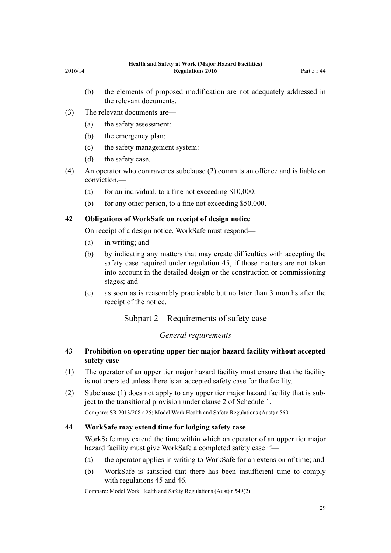- <span id="page-28-0"></span>(b) the elements of proposed modification are not adequately addressed in the relevant documents.
- (3) The relevant documents are—
	- (a) the safety assessment:
	- (b) the emergency plan:
	- (c) the safety management system:
	- (d) the safety case.
- (4) An operator who contravenes subclause (2) commits an offence and is liable on conviction,—
	- (a) for an individual, to a fine not exceeding  $$10,000$ :
	- (b) for any other person, to a fine not exceeding \$50,000.

# **42 Obligations of WorkSafe on receipt of design notice**

On receipt of a design notice, WorkSafe must respond—

- (a) in writing; and
- (b) by indicating any matters that may create difficulties with accepting the safety case required under [regulation 45,](#page-29-0) if those matters are not taken into account in the detailed design or the construction or commissioning stages; and
- (c) as soon as is reasonably practicable but no later than 3 months after the receipt of the notice.

# Subpart 2—Requirements of safety case

#### *General requirements*

### **43 Prohibition on operating upper tier major hazard facility without accepted safety case**

- (1) The operator of an upper tier major hazard facility must ensure that the facility is not operated unless there is an accepted safety case for the facility.
- (2) Subclause (1) does not apply to any upper tier major hazard facility that is subject to the transitional provision under [clause 2](#page-43-0) of Schedule 1.

Compare: SR 2013/208 [r 25;](http://prd-lgnz-nlb.prd.pco.net.nz/pdflink.aspx?id=DLM5202580) Model Work Health and Safety Regulations (Aust) r 560

#### **44 WorkSafe may extend time for lodging safety case**

WorkSafe may extend the time within which an operator of an upper tier major hazard facility must give WorkSafe a completed safety case if-

- (a) the operator applies in writing to WorkSafe for an extension of time; and
- (b) WorkSafe is satisfied that there has been insufficient time to comply with [regulations 45](#page-29-0) and [46.](#page-29-0)

Compare: Model Work Health and Safety Regulations (Aust) r 549(2)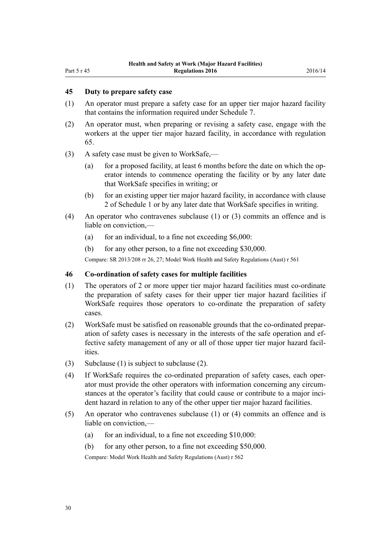#### <span id="page-29-0"></span>**45 Duty to prepare safety case**

- (1) An operator must prepare a safety case for an upper tier major hazard facility that contains the information required under [Schedule 7.](#page-64-0)
- (2) An operator must, when preparing or revising a safety case, engage with the workers at the upper tier major hazard facility, in accordance with [regulation](#page-39-0) [65.](#page-39-0)
- (3) A safety case must be given to WorkSafe,—
	- (a) for a proposed facility, at least 6 months before the date on which the operator intends to commence operating the facility or by any later date that WorkSafe specifies in writing; or
	- (b) for an existing upper tier major hazard facility, in accordance with [clause](#page-43-0) [2](#page-43-0) of Schedule 1 or by any later date that WorkSafe specifies in writing.
- (4) An operator who contravenes subclause (1) or (3) commits an offence and is liable on conviction,—
	- (a) for an individual, to a fine not exceeding  $$6,000$ :
	- (b) for any other person, to a fine not exceeding \$30,000.

Compare: SR 2013/208 [rr 26,](http://prd-lgnz-nlb.prd.pco.net.nz/pdflink.aspx?id=DLM5202531) [27](http://prd-lgnz-nlb.prd.pco.net.nz/pdflink.aspx?id=DLM5202540); Model Work Health and Safety Regulations (Aust) r 561

#### **46 Co-ordination of safety cases for multiple facilities**

- (1) The operators of 2 or more upper tier major hazard facilities must co-ordinate the preparation of safety cases for their upper tier major hazard facilities if WorkSafe requires those operators to co-ordinate the preparation of safety cases.
- (2) WorkSafe must be satisfied on reasonable grounds that the co-ordinated preparation of safety cases is necessary in the interests of the safe operation and effective safety management of any or all of those upper tier major hazard facilities.
- (3) Subclause (1) is subject to subclause (2).
- (4) If WorkSafe requires the co-ordinated preparation of safety cases, each operator must provide the other operators with information concerning any circumstances at the operator's facility that could cause or contribute to a major incident hazard in relation to any of the other upper tier major hazard facilities.
- (5) An operator who contravenes subclause (1) or (4) commits an offence and is liable on conviction,—
	- (a) for an individual, to a fine not exceeding  $$10,000$ :
	- (b) for any other person, to a fine not exceeding \$50,000.

Compare: Model Work Health and Safety Regulations (Aust) r 562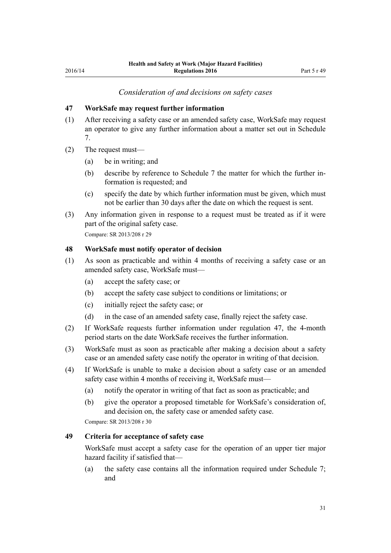#### *Consideration of and decisions on safety cases*

#### <span id="page-30-0"></span>**47 WorkSafe may request further information**

- (1) After receiving a safety case or an amended safety case, WorkSafe may request an operator to give any further information about a matter set out in [Schedule](#page-64-0) [7.](#page-64-0)
- (2) The request must—
	- (a) be in writing; and
	- (b) describe by reference to [Schedule 7](#page-64-0) the matter for which the further information is requested; and
	- (c) specify the date by which further information must be given, which must not be earlier than 30 days after the date on which the request is sent.
- (3) Any information given in response to a request must be treated as if it were part of the original safety case.

Compare: SR 2013/208 [r 29](http://prd-lgnz-nlb.prd.pco.net.nz/pdflink.aspx?id=DLM5202545)

#### **48 WorkSafe must notify operator of decision**

- (1) As soon as practicable and within 4 months of receiving a safety case or an amended safety case, WorkSafe must—
	- (a) accept the safety case; or
	- (b) accept the safety case subject to conditions or limitations; or
	- (c) initially reject the safety case; or
	- (d) in the case of an amended safety case, finally reject the safety case.
- (2) If WorkSafe requests further information under regulation 47, the 4-month period starts on the date WorkSafe receives the further information.
- (3) WorkSafe must as soon as practicable after making a decision about a safety case or an amended safety case notify the operator in writing of that decision.
- (4) If WorkSafe is unable to make a decision about a safety case or an amended safety case within 4 months of receiving it, WorkSafe must—
	- (a) notify the operator in writing of that fact as soon as practicable; and
	- (b) give the operator a proposed timetable for WorkSafe's consideration of, and decision on, the safety case or amended safety case.

Compare: SR 2013/208 [r 30](http://prd-lgnz-nlb.prd.pco.net.nz/pdflink.aspx?id=DLM5202569)

#### **49 Criteria for acceptance of safety case**

WorkSafe must accept a safety case for the operation of an upper tier major hazard facility if satisfied that—

(a) the safety case contains all the information required under [Schedule 7;](#page-64-0) and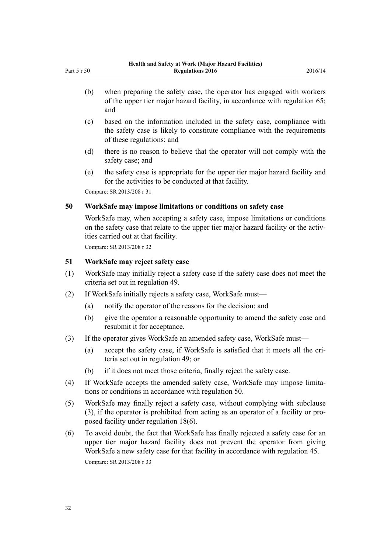- (b) when preparing the safety case, the operator has engaged with workers of the upper tier major hazard facility, in accordance with [regulation 65;](#page-39-0) and
- (c) based on the information included in the safety case, compliance with the safety case is likely to constitute compliance with the requirements of these regulations; and
- (d) there is no reason to believe that the operator will not comply with the safety case; and
- (e) the safety case is appropriate for the upper tier major hazard facility and for the activities to be conducted at that facility.

Compare: SR 2013/208 [r 31](http://prd-lgnz-nlb.prd.pco.net.nz/pdflink.aspx?id=DLM5202549)

<span id="page-31-0"></span>Part 5 r 50

#### **50 WorkSafe may impose limitations or conditions on safety case**

WorkSafe may, when accepting a safety case, impose limitations or conditions on the safety case that relate to the upper tier major hazard facility or the activities carried out at that facility.

Compare: SR 2013/208 [r 32](http://prd-lgnz-nlb.prd.pco.net.nz/pdflink.aspx?id=DLM5202552)

#### **51 WorkSafe may reject safety case**

- (1) WorkSafe may initially reject a safety case if the safety case does not meet the criteria set out in [regulation 49.](#page-30-0)
- (2) If WorkSafe initially rejects a safety case, WorkSafe must—
	- (a) notify the operator of the reasons for the decision; and
	- (b) give the operator a reasonable opportunity to amend the safety case and resubmit it for acceptance.
- (3) If the operator gives WorkSafe an amended safety case, WorkSafe must—
	- (a) accept the safety case, if WorkSafe is satisfied that it meets all the criteria set out in [regulation 49;](#page-30-0) or
	- (b) if it does not meet those criteria, finally reject the safety case.
- (4) If WorkSafe accepts the amended safety case, WorkSafe may impose limitations or conditions in accordance with regulation 50.
- (5) WorkSafe may finally reject a safety case, without complying with subclause (3), if the operator is prohibited from acting as an operator of a facility or proposed facility under [regulation 18\(6\).](#page-13-0)
- (6) To avoid doubt, the fact that WorkSafe has finally rejected a safety case for an upper tier major hazard facility does not prevent the operator from giving WorkSafe a new safety case for that facility in accordance with [regulation 45](#page-29-0). Compare: SR 2013/208 [r 33](http://prd-lgnz-nlb.prd.pco.net.nz/pdflink.aspx?id=DLM5202563)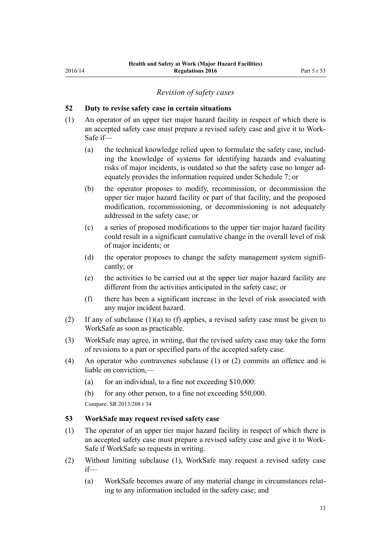#### *Revision of safety cases*

#### <span id="page-32-0"></span>**52 Duty to revise safety case in certain situations**

- (1) An operator of an upper tier major hazard facility in respect of which there is an accepted safety case must prepare a revised safety case and give it to Work-Safe if—
	- (a) the technical knowledge relied upon to formulate the safety case, including the knowledge of systems for identifying hazards and evaluating risks of major incidents, is outdated so that the safety case no longer adequately provides the information required under [Schedule 7;](#page-64-0) or
	- (b) the operator proposes to modify, recommission, or decommission the upper tier major hazard facility or part of that facility, and the proposed modification, recommissioning, or decommissioning is not adequately addressed in the safety case; or
	- (c) a series of proposed modifications to the upper tier major hazard facility could result in a significant cumulative change in the overall level of risk of major incidents; or
	- (d) the operator proposes to change the safety management system significantly; or
	- (e) the activities to be carried out at the upper tier major hazard facility are different from the activities anticipated in the safety case; or
	- (f) there has been a significant increase in the level of risk associated with any major incident hazard.
- (2) If any of subclause (1)(a) to (f) applies, a revised safety case must be given to WorkSafe as soon as practicable.
- (3) WorkSafe may agree, in writing, that the revised safety case may take the form of revisions to a part or specified parts of the accepted safety case.
- (4) An operator who contravenes subclause (1) or (2) commits an offence and is liable on conviction,—
	- (a) for an individual, to a fine not exceeding  $$10,000$ :
	- (b) for any other person, to a fine not exceeding \$50,000.

Compare: SR 2013/208 [r 34](http://prd-lgnz-nlb.prd.pco.net.nz/pdflink.aspx?id=DLM5202558)

#### **53 WorkSafe may request revised safety case**

- (1) The operator of an upper tier major hazard facility in respect of which there is an accepted safety case must prepare a revised safety case and give it to Work-Safe if WorkSafe so requests in writing.
- (2) Without limiting subclause (1), WorkSafe may request a revised safety case if—
	- (a) WorkSafe becomes aware of any material change in circumstances relating to any information included in the safety case; and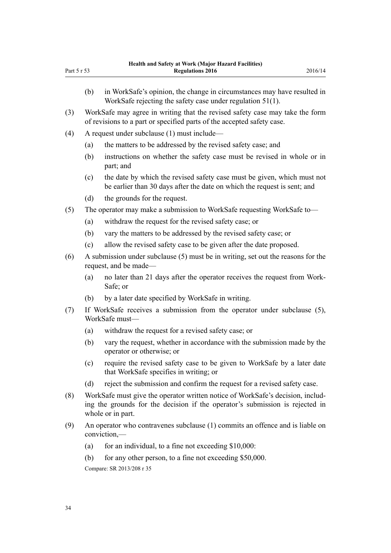|             |     | <b>Health and Safety at Work (Major Hazard Facilities)</b>                                                                                             |         |
|-------------|-----|--------------------------------------------------------------------------------------------------------------------------------------------------------|---------|
| Part 5 r 53 |     | <b>Regulations 2016</b>                                                                                                                                | 2016/14 |
|             | (b) | in WorkSafe's opinion, the change in circumstances may have resulted in<br>WorkSafe rejecting the safety case under regulation $51(1)$ .               |         |
| (3)         |     | WorkSafe may agree in writing that the revised safety case may take the form<br>of revisions to a part or specified parts of the accepted safety case. |         |

(4) A request under subclause (1) must include—

- (a) the matters to be addressed by the revised safety case; and
- (b) instructions on whether the safety case must be revised in whole or in part; and
- (c) the date by which the revised safety case must be given, which must not be earlier than 30 days after the date on which the request is sent; and
- (d) the grounds for the request.
- (5) The operator may make a submission to WorkSafe requesting WorkSafe to—
	- (a) withdraw the request for the revised safety case; or
	- (b) vary the matters to be addressed by the revised safety case; or
	- (c) allow the revised safety case to be given after the date proposed.
- (6) A submission under subclause (5) must be in writing, set out the reasons for the request, and be made—
	- (a) no later than 21 days after the operator receives the request from Work-Safe; or
	- (b) by a later date specified by WorkSafe in writing.
- (7) If WorkSafe receives a submission from the operator under subclause (5), WorkSafe must—
	- (a) withdraw the request for a revised safety case; or
	- (b) vary the request, whether in accordance with the submission made by the operator or otherwise; or
	- (c) require the revised safety case to be given to WorkSafe by a later date that WorkSafe specifies in writing; or
	- (d) reject the submission and confirm the request for a revised safety case.
- (8) WorkSafe must give the operator written notice of WorkSafe's decision, including the grounds for the decision if the operator's submission is rejected in whole or in part.
- (9) An operator who contravenes subclause (1) commits an offence and is liable on conviction,—
	- (a) for an individual, to a fine not exceeding  $$10,000$ :
	- (b) for any other person, to a fine not exceeding \$50,000. Compare: SR 2013/208 [r 35](http://prd-lgnz-nlb.prd.pco.net.nz/pdflink.aspx?id=DLM5202556)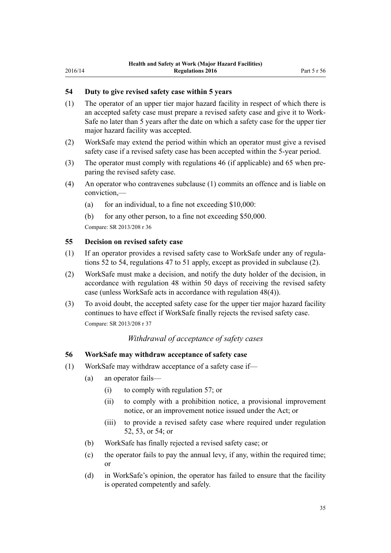#### <span id="page-34-0"></span>**54 Duty to give revised safety case within 5 years**

- (1) The operator of an upper tier major hazard facility in respect of which there is an accepted safety case must prepare a revised safety case and give it to Work-Safe no later than 5 years after the date on which a safety case for the upper tier major hazard facility was accepted.
- (2) WorkSafe may extend the period within which an operator must give a revised safety case if a revised safety case has been accepted within the 5-year period.
- (3) The operator must comply with [regulations 46](#page-29-0) (if applicable) and [65](#page-39-0) when preparing the revised safety case.
- (4) An operator who contravenes subclause (1) commits an offence and is liable on conviction,—
	- (a) for an individual, to a fine not exceeding  $$10,000$ :
	- (b) for any other person, to a fine not exceeding \$50,000.

Compare: SR 2013/208 [r 36](http://prd-lgnz-nlb.prd.pco.net.nz/pdflink.aspx?id=DLM5202560)

#### **55 Decision on revised safety case**

- (1) If an operator provides a revised safety case to WorkSafe under any of [regula](#page-32-0)[tions 52 to 54](#page-32-0), [regulations 47 to 51](#page-30-0) apply, except as provided in subclause (2).
- (2) WorkSafe must make a decision, and notify the duty holder of the decision, in accordance with [regulation 48](#page-30-0) within 50 days of receiving the revised safety case (unless WorkSafe acts in accordance with regulation 48(4)).
- (3) To avoid doubt, the accepted safety case for the upper tier major hazard facility continues to have effect if WorkSafe finally rejects the revised safety case. Compare: SR 2013/208 [r 37](http://prd-lgnz-nlb.prd.pco.net.nz/pdflink.aspx?id=DLM5203762)

# *Withdrawal of acceptance of safety cases*

#### **56 WorkSafe may withdraw acceptance of safety case**

- (1) WorkSafe may withdraw acceptance of a safety case if—
	- (a) an operator fails—
		- (i) to comply with [regulation 57;](#page-35-0) or
		- (ii) to comply with a prohibition notice, a provisional improvement notice, or an improvement notice issued under the Act; or
		- (iii) to provide a revised safety case where required under [regulation](#page-32-0) [52, 53,](#page-32-0) or 54; or
	- (b) WorkSafe has finally rejected a revised safety case; or
	- (c) the operator fails to pay the annual levy, if any, within the required time; or
	- (d) in WorkSafe's opinion, the operator has failed to ensure that the facility is operated competently and safely.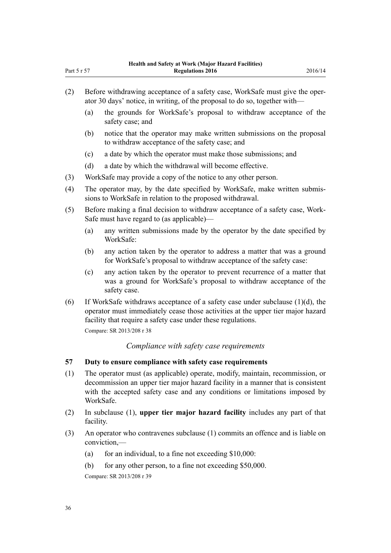- <span id="page-35-0"></span>(2) Before withdrawing acceptance of a safety case, WorkSafe must give the operator 30 days' notice, in writing, of the proposal to do so, together with—
	- (a) the grounds for WorkSafe's proposal to withdraw acceptance of the safety case; and
	- (b) notice that the operator may make written submissions on the proposal to withdraw acceptance of the safety case; and
	- (c) a date by which the operator must make those submissions; and
	- (d) a date by which the withdrawal will become effective.
- (3) WorkSafe may provide a copy of the notice to any other person.
- (4) The operator may, by the date specified by WorkSafe, make written submissions to WorkSafe in relation to the proposed withdrawal.
- (5) Before making a final decision to withdraw acceptance of a safety case, Work-Safe must have regard to (as applicable)—
	- (a) any written submissions made by the operator by the date specified by WorkSafe:
	- (b) any action taken by the operator to address a matter that was a ground for WorkSafe's proposal to withdraw acceptance of the safety case:
	- (c) any action taken by the operator to prevent recurrence of a matter that was a ground for WorkSafe's proposal to withdraw acceptance of the safety case.
- (6) If WorkSafe withdraws acceptance of a safety case under subclause  $(1)(d)$ , the operator must immediately cease those activities at the upper tier major hazard facility that require a safety case under these regulations.

Compare: SR 2013/208 [r 38](http://prd-lgnz-nlb.prd.pco.net.nz/pdflink.aspx?id=DLM5203764)

#### *Compliance with safety case requirements*

#### **57 Duty to ensure compliance with safety case requirements**

- (1) The operator must (as applicable) operate, modify, maintain, recommission, or decommission an upper tier major hazard facility in a manner that is consistent with the accepted safety case and any conditions or limitations imposed by WorkSafe.
- (2) In subclause (1), **upper tier major hazard facility** includes any part of that facility.
- (3) An operator who contravenes subclause (1) commits an offence and is liable on conviction,—
	- (a) for an individual, to a fine not exceeding  $$10,000$ :
	- (b) for any other person, to a fine not exceeding \$50,000.

Compare: SR 2013/208 [r 39](http://prd-lgnz-nlb.prd.pco.net.nz/pdflink.aspx?id=DLM5202571)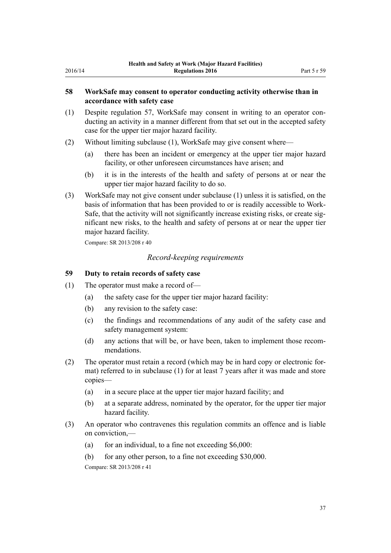#### <span id="page-36-0"></span>**58 WorkSafe may consent to operator conducting activity otherwise than in accordance with safety case**

- (1) Despite [regulation 57](#page-35-0), WorkSafe may consent in writing to an operator conducting an activity in a manner different from that set out in the accepted safety case for the upper tier major hazard facility.
- (2) Without limiting subclause (1), WorkSafe may give consent where—
	- (a) there has been an incident or emergency at the upper tier major hazard facility, or other unforeseen circumstances have arisen; and
	- (b) it is in the interests of the health and safety of persons at or near the upper tier major hazard facility to do so.
- (3) WorkSafe may not give consent under subclause (1) unless it is satisfied, on the basis of information that has been provided to or is readily accessible to Work-Safe, that the activity will not significantly increase existing risks, or create significant new risks, to the health and safety of persons at or near the upper tier major hazard facility.

Compare: SR 2013/208 [r 40](http://prd-lgnz-nlb.prd.pco.net.nz/pdflink.aspx?id=DLM5203766)

#### *Record-keeping requirements*

#### **59 Duty to retain records of safety case**

- (1) The operator must make a record of—
	- (a) the safety case for the upper tier major hazard facility:
	- (b) any revision to the safety case:
	- (c) the findings and recommendations of any audit of the safety case and safety management system:
	- (d) any actions that will be, or have been, taken to implement those recommendations.
- (2) The operator must retain a record (which may be in hard copy or electronic format) referred to in subclause (1) for at least 7 years after it was made and store copies—
	- (a) in a secure place at the upper tier major hazard facility; and
	- (b) at a separate address, nominated by the operator, for the upper tier major hazard facility.
- (3) An operator who contravenes this regulation commits an offence and is liable on conviction,—
	- (a) for an individual, to a fine not exceeding  $$6,000$ :
	- (b) for any other person, to a fine not exceeding \$30,000.

Compare: SR 2013/208 [r 41](http://prd-lgnz-nlb.prd.pco.net.nz/pdflink.aspx?id=DLM5203369)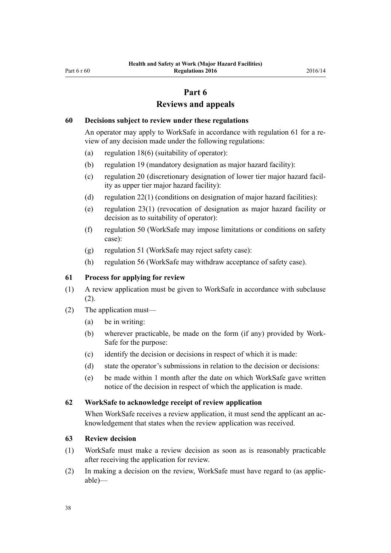#### **Part 6**

# **Reviews and appeals**

#### <span id="page-37-0"></span>**60 Decisions subject to review under these regulations**

An operator may apply to WorkSafe in accordance with regulation 61 for a review of any decision made under the following regulations:

- (a) [regulation 18\(6\)](#page-13-0) (suitability of operator):
- (b) [regulation 19](#page-14-0) (mandatory designation as major hazard facility):
- (c) [regulation 20](#page-14-0) (discretionary designation of lower tier major hazard facility as upper tier major hazard facility):
- (d) [regulation 22\(1\)](#page-15-0) (conditions on designation of major hazard facilities):
- (e) [regulation 23\(1\)](#page-15-0) (revocation of designation as major hazard facility or decision as to suitability of operator):
- (f) [regulation 50](#page-31-0) (WorkSafe may impose limitations or conditions on safety case):
- (g) [regulation 51](#page-31-0) (WorkSafe may reject safety case):
- (h) [regulation 56](#page-34-0) (WorkSafe may withdraw acceptance of safety case).

#### **61 Process for applying for review**

- (1) A review application must be given to WorkSafe in accordance with subclause (2).
- (2) The application must—
	- (a) be in writing:
	- (b) wherever practicable, be made on the form (if any) provided by Work-Safe for the purpose:
	- (c) identify the decision or decisions in respect of which it is made:
	- (d) state the operator's submissions in relation to the decision or decisions:
	- (e) be made within 1 month after the date on which WorkSafe gave written notice of the decision in respect of which the application is made.

#### **62 WorkSafe to acknowledge receipt of review application**

When WorkSafe receives a review application, it must send the applicant an acknowledgement that states when the review application was received.

#### **63 Review decision**

- (1) WorkSafe must make a review decision as soon as is reasonably practicable after receiving the application for review.
- (2) In making a decision on the review, WorkSafe must have regard to (as applicable)—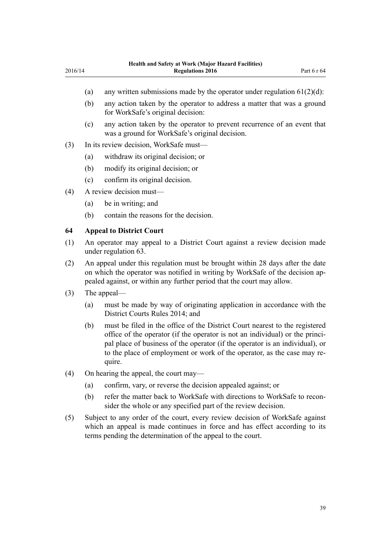- (a) any written submissions made by the operator under regulation  $61(2)(d)$ :
- (b) any action taken by the operator to address a matter that was a ground for WorkSafe's original decision:
- (c) any action taken by the operator to prevent recurrence of an event that was a ground for WorkSafe's original decision.
- (3) In its review decision, WorkSafe must—
	- (a) withdraw its original decision; or
	- (b) modify its original decision; or
	- (c) confirm its original decision.
- (4) A review decision must—

<span id="page-38-0"></span>2016/14

- (a) be in writing; and
- (b) contain the reasons for the decision.

#### **64 Appeal to District Court**

- (1) An operator may appeal to a District Court against a review decision made under [regulation 63](#page-37-0).
- (2) An appeal under this regulation must be brought within 28 days after the date on which the operator was notified in writing by WorkSafe of the decision appealed against, or within any further period that the court may allow.
- (3) The appeal—
	- (a) must be made by way of originating application in accordance with the [District Courts Rules 2014](http://prd-lgnz-nlb.prd.pco.net.nz/pdflink.aspx?id=DLM6129566); and
	- (b) must be filed in the office of the District Court nearest to the registered office of the operator (if the operator is not an individual) or the principal place of business of the operator (if the operator is an individual), or to the place of employment or work of the operator, as the case may require.
- (4) On hearing the appeal, the court may—
	- (a) confirm, vary, or reverse the decision appealed against; or
	- (b) refer the matter back to WorkSafe with directions to WorkSafe to reconsider the whole or any specified part of the review decision.
- (5) Subject to any order of the court, every review decision of WorkSafe against which an appeal is made continues in force and has effect according to its terms pending the determination of the appeal to the court.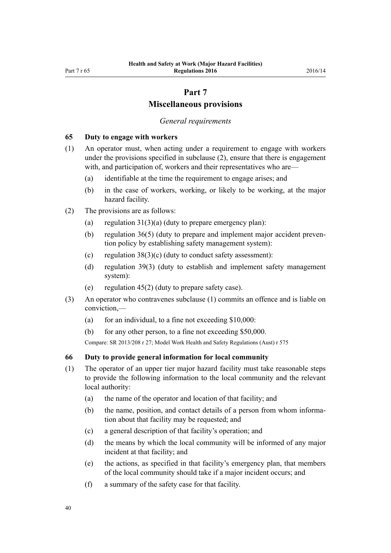# **Part 7**

#### **Miscellaneous provisions**

#### *General requirements*

#### <span id="page-39-0"></span>**65 Duty to engage with workers**

- (1) An operator must, when acting under a requirement to engage with workers under the provisions specified in subclause (2), ensure that there is engagement with, and participation of, workers and their representatives who are—
	- (a) identifiable at the time the requirement to engage arises; and
	- (b) in the case of workers, working, or likely to be working, at the major hazard facility.
- (2) The provisions are as follows:
	- (a) regulation  $31(3)(a)$  (duty to prepare emergency plan):
	- (b) [regulation 36\(5\)](#page-23-0) (duty to prepare and implement major accident prevention policy by establishing safety management system):
	- (c) regulation  $38(3)(c)$  (duty to conduct safety assessment):
	- (d) [regulation 39\(3\)](#page-26-0) (duty to establish and implement safety management system):
	- (e) regulation  $45(2)$  (duty to prepare safety case).
- (3) An operator who contravenes subclause (1) commits an offence and is liable on conviction,—
	- (a) for an individual, to a fine not exceeding  $$10,000$ :
	- (b) for any other person, to a fine not exceeding \$50,000.

Compare: SR 2013/208 [r 27;](http://prd-lgnz-nlb.prd.pco.net.nz/pdflink.aspx?id=DLM5202540) Model Work Health and Safety Regulations (Aust) r 575

#### **66 Duty to provide general information for local community**

- (1) The operator of an upper tier major hazard facility must take reasonable steps to provide the following information to the local community and the relevant local authority:
	- (a) the name of the operator and location of that facility; and
	- (b) the name, position, and contact details of a person from whom information about that facility may be requested; and
	- (c) a general description of that facility's operation; and
	- (d) the means by which the local community will be informed of any major incident at that facility; and
	- (e) the actions, as specified in that facility's emergency plan, that members of the local community should take if a major incident occurs; and
	- (f) a summary of the safety case for that facility.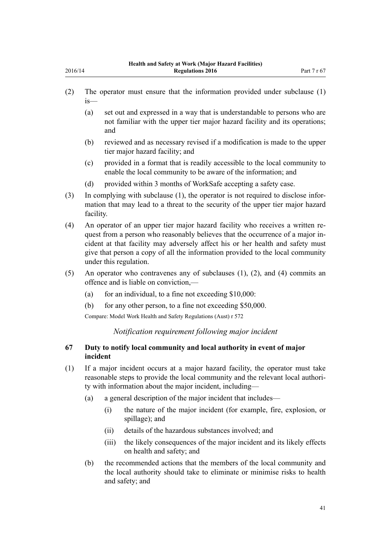<span id="page-40-0"></span>2016/14

- (2) The operator must ensure that the information provided under subclause (1) is—
	- (a) set out and expressed in a way that is understandable to persons who are not familiar with the upper tier major hazard facility and its operations; and
	- (b) reviewed and as necessary revised if a modification is made to the upper tier major hazard facility; and
	- (c) provided in a format that is readily accessible to the local community to enable the local community to be aware of the information; and
	- (d) provided within 3 months of WorkSafe accepting a safety case.
- (3) In complying with subclause (1), the operator is not required to disclose information that may lead to a threat to the security of the upper tier major hazard facility.
- (4) An operator of an upper tier major hazard facility who receives a written request from a person who reasonably believes that the occurrence of a major incident at that facility may adversely affect his or her health and safety must give that person a copy of all the information provided to the local community under this regulation.
- (5) An operator who contravenes any of subclauses (1), (2), and (4) commits an offence and is liable on conviction,—
	- (a) for an individual, to a fine not exceeding  $$10,000$ :
	- (b) for any other person, to a fine not exceeding \$50,000.

Compare: Model Work Health and Safety Regulations (Aust) r 572

#### *Notification requirement following major incident*

#### **67 Duty to notify local community and local authority in event of major incident**

- (1) If a major incident occurs at a major hazard facility, the operator must take reasonable steps to provide the local community and the relevant local authority with information about the major incident, including—
	- (a) a general description of the major incident that includes—
		- (i) the nature of the major incident (for example, fire, explosion, or spillage); and
		- (ii) details of the hazardous substances involved; and
		- (iii) the likely consequences of the major incident and its likely effects on health and safety; and
	- (b) the recommended actions that the members of the local community and the local authority should take to eliminate or minimise risks to health and safety; and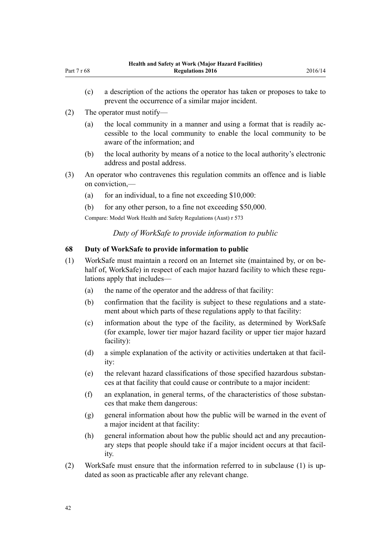(2) The operator must notify—

<span id="page-41-0"></span>Part 7 r 68

- (a) the local community in a manner and using a format that is readily accessible to the local community to enable the local community to be aware of the information; and
- (b) the local authority by means of a notice to the local authority's electronic address and postal address.
- (3) An operator who contravenes this regulation commits an offence and is liable on conviction,—
	- (a) for an individual, to a fine not exceeding  $$10,000$ :
	- (b) for any other person, to a fine not exceeding \$50,000.

Compare: Model Work Health and Safety Regulations (Aust) r 573

*Duty of WorkSafe to provide information to public*

#### **68 Duty of WorkSafe to provide information to public**

- (1) WorkSafe must maintain a record on an Internet site (maintained by, or on behalf of, WorkSafe) in respect of each major hazard facility to which these regulations apply that includes—
	- (a) the name of the operator and the address of that facility:
	- (b) confirmation that the facility is subject to these regulations and a statement about which parts of these regulations apply to that facility:
	- (c) information about the type of the facility, as determined by WorkSafe (for example, lower tier major hazard facility or upper tier major hazard facility):
	- (d) a simple explanation of the activity or activities undertaken at that facility:
	- (e) the relevant hazard classifications of those specified hazardous substances at that facility that could cause or contribute to a major incident:
	- (f) an explanation, in general terms, of the characteristics of those substances that make them dangerous:
	- (g) general information about how the public will be warned in the event of a major incident at that facility:
	- (h) general information about how the public should act and any precautionary steps that people should take if a major incident occurs at that facility.
- (2) WorkSafe must ensure that the information referred to in subclause (1) is updated as soon as practicable after any relevant change.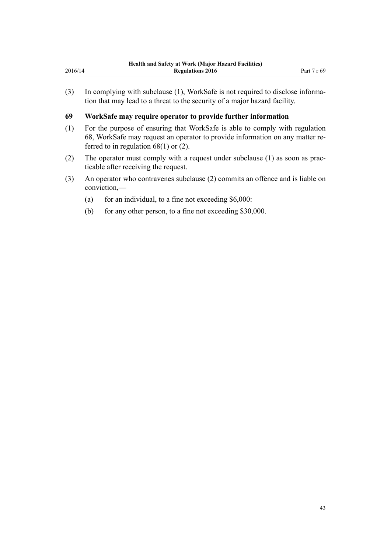<span id="page-42-0"></span>(3) In complying with subclause (1), WorkSafe is not required to disclose information that may lead to a threat to the security of a major hazard facility.

#### **69 WorkSafe may require operator to provide further information**

- (1) For the purpose of ensuring that WorkSafe is able to comply with [regulation](#page-41-0) [68,](#page-41-0) WorkSafe may request an operator to provide information on any matter referred to in regulation 68(1) or (2).
- (2) The operator must comply with a request under subclause (1) as soon as practicable after receiving the request.
- (3) An operator who contravenes subclause (2) commits an offence and is liable on conviction,—
	- (a) for an individual, to a fine not exceeding  $$6,000$ :
	- (b) for any other person, to a fine not exceeding \$30,000.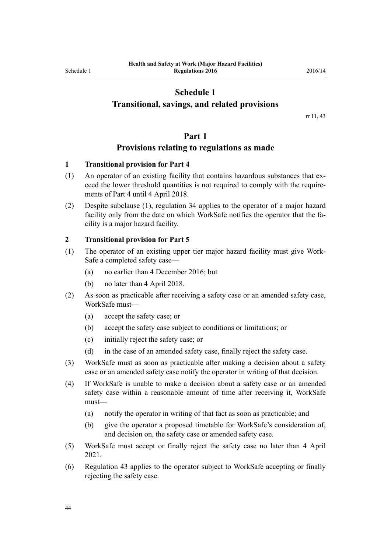# **Schedule 1**

#### <span id="page-43-0"></span>**Transitional, savings, and related provisions**

rr [11,](#page-9-0) [43](#page-28-0)

#### **Part 1**

#### **Provisions relating to regulations as made**

#### **1 Transitional provision for Part 4**

- (1) An operator of an existing facility that contains hazardous substances that exceed the lower threshold quantities is not required to comply with the requirements of [Part 4](#page-19-0) until 4 April 2018.
- (2) Despite subclause (1), [regulation 34](#page-21-0) applies to the operator of a major hazard facility only from the date on which WorkSafe notifies the operator that the facility is a major hazard facility.

#### **2 Transitional provision for Part 5**

- (1) The operator of an existing upper tier major hazard facility must give Work-Safe a completed safety case—
	- (a) no earlier than 4 December 2016; but
	- (b) no later than 4 April 2018.
- (2) As soon as practicable after receiving a safety case or an amended safety case, WorkSafe must—
	- (a) accept the safety case; or
	- (b) accept the safety case subject to conditions or limitations; or
	- (c) initially reject the safety case; or
	- (d) in the case of an amended safety case, finally reject the safety case.
- (3) WorkSafe must as soon as practicable after making a decision about a safety case or an amended safety case notify the operator in writing of that decision.
- (4) If WorkSafe is unable to make a decision about a safety case or an amended safety case within a reasonable amount of time after receiving it, WorkSafe must—
	- (a) notify the operator in writing of that fact as soon as practicable; and
	- (b) give the operator a proposed timetable for WorkSafe's consideration of, and decision on, the safety case or amended safety case.
- (5) WorkSafe must accept or finally reject the safety case no later than 4 April 2021.
- (6) [Regulation 43](#page-28-0) applies to the operator subject to WorkSafe accepting or finally rejecting the safety case.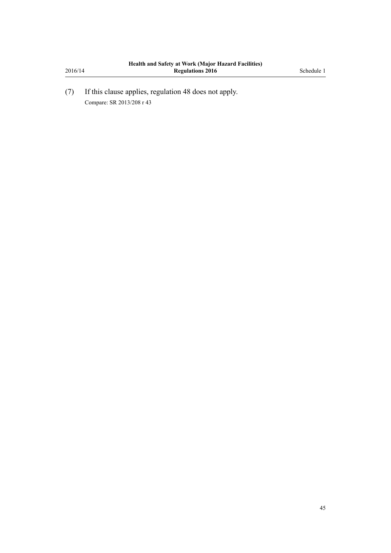(7) If this clause applies, [regulation 48](#page-30-0) does not apply. Compare: SR 2013/208 [r 43](http://prd-lgnz-nlb.prd.pco.net.nz/pdflink.aspx?id=DLM5203770)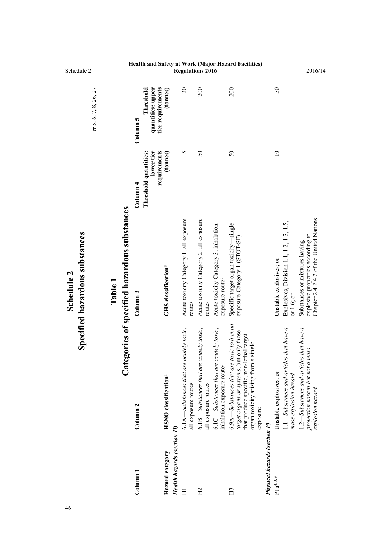<span id="page-45-0"></span>

| Schedule 2                                   |                       |         |                                           |                                                                 |                                         |                            |                                                                | Regulations 2016                                               |                                                                                      |                                                                                                                                                                                       |                                     |                                                                                                | 2016/14                                                                                                       |
|----------------------------------------------|-----------------------|---------|-------------------------------------------|-----------------------------------------------------------------|-----------------------------------------|----------------------------|----------------------------------------------------------------|----------------------------------------------------------------|--------------------------------------------------------------------------------------|---------------------------------------------------------------------------------------------------------------------------------------------------------------------------------------|-------------------------------------|------------------------------------------------------------------------------------------------|---------------------------------------------------------------------------------------------------------------|
|                                              | rr 5, 6, 7, 8, 26, 27 |         |                                           | quantities: upper<br>Threshold<br>Column 5                      | tier requirements<br>(tonnes)           |                            | $\overline{c}$                                                 | 200                                                            |                                                                                      | 200                                                                                                                                                                                   |                                     | 50                                                                                             |                                                                                                               |
|                                              |                       |         |                                           | lower tier<br>Threshold quantities:<br>$\operatorname{Column}4$ | requirements<br>(tonnes)                |                            | 5                                                              | $\mathcal{S}$                                                  |                                                                                      | $50\,$                                                                                                                                                                                |                                     | $\supseteq$                                                                                    |                                                                                                               |
| Specified hazardous substances<br>Schedule 2 |                       | Table 1 | egories of specified hazardous substances | Column <sub>3</sub>                                             | <b>GHS</b> classification <sup>2</sup>  |                            | Acute toxicity Category 1, all exposure<br>routes              | Acute toxicity Category 2, all exposure<br>routes              | Acute toxicity Category 3, inhalation<br>exposure route <sup>3</sup>                 | Specific target organ toxicity-single<br>exposure Category 1 (STOT-SE)                                                                                                                |                                     | Explosives, Division 1.1, 1.2, 1.3, 1.5,<br>Unstable explosives; or<br>or $1.6$ ; or           | Chapter 2.4.2.4.2 of the United Nations<br>explosive properties according to<br>Substances or mixtures having |
|                                              |                       |         | $\mathbf{a}$ te                           | Column <sub>2</sub>                                             | <b>HSNO</b> classification <sup>1</sup> |                            | 6.1A—Substances that are acutely toxic,<br>all exposure routes | 6.1B—Substances that are acutely toxic,<br>all exposure routes | acutely toxic,<br>6.1C—Substances that are<br>inhalation exposure route <sup>3</sup> | $6.9A-Substances$ that are toxic to human<br>target organs or systems, but only those<br>that produce specific, non-lethal target<br>organ toxicity arising from a single<br>exposure |                                     | $1.1$ —Substances and articles that have a<br>Unstable explosives; or<br>mass explosion hazard | 1.2—Substances and articles that have a<br>nass<br>projection hazard but not a<br>explosion hazard            |
|                                              |                       |         |                                           | Column 1                                                        | Hazard category                         | Health hazards (section H) | Ξ                                                              | H <sub>2</sub>                                                 |                                                                                      | H <sub>3</sub>                                                                                                                                                                        | <b>Physical hazards (section P)</b> | $P1a^{4, 5, 6}$                                                                                |                                                                                                               |

**Health and Safety at Work (Major Hazard Facilities)**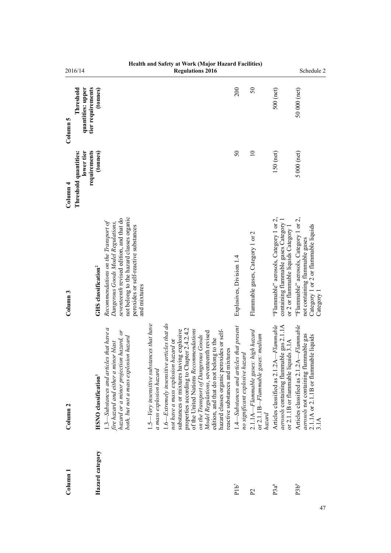|                                   | 2016/14                                                                                                                                                                                                                                                       |                                                                         | <b>Regulations 2016</b>                                                                                                                                                                                                                                                                                                                                                                                                           |                                                                             |                                                                                                  |                                                                                                                            | Schedule 2                                                                                                                              |
|-----------------------------------|---------------------------------------------------------------------------------------------------------------------------------------------------------------------------------------------------------------------------------------------------------------|-------------------------------------------------------------------------|-----------------------------------------------------------------------------------------------------------------------------------------------------------------------------------------------------------------------------------------------------------------------------------------------------------------------------------------------------------------------------------------------------------------------------------|-----------------------------------------------------------------------------|--------------------------------------------------------------------------------------------------|----------------------------------------------------------------------------------------------------------------------------|-----------------------------------------------------------------------------------------------------------------------------------------|
| Column 5                          | tier requirements<br>(tonnes)<br>Threshold<br>quantities: upper                                                                                                                                                                                               |                                                                         |                                                                                                                                                                                                                                                                                                                                                                                                                                   | 200                                                                         | $50\,$                                                                                           | 500 (net)                                                                                                                  | 50 000 (net)                                                                                                                            |
| $\frac{1}{2}$ Olumn $\frac{4}{2}$ | Threshold quantities:<br>lower tier<br>requirements<br>(tonnes)                                                                                                                                                                                               |                                                                         |                                                                                                                                                                                                                                                                                                                                                                                                                                   | $\mathcal{S}$                                                               | $\overline{a}$                                                                                   | $150$ (net)                                                                                                                | $5000$ (net)                                                                                                                            |
| Column <sub>3</sub>               | not belong to the hazard classes organic<br>seventeenth revised edition, and that do<br>Recommendations on the Transport of<br>Dangerous Goods Model Regulations,<br>peroxides or self-reactive substances<br>GHS classification <sup>2</sup><br>and mixtures |                                                                         |                                                                                                                                                                                                                                                                                                                                                                                                                                   | Explosives, Division 1.4                                                    | Flammable gases, Category 1 or 2                                                                 | "Flammable" aerosols, Category 1 or 2,<br>containing flammable gases Category 1<br>or 2 or flammable liquids Category 1    | "Flammable" aerosols, Category 1 or 2,<br>Category 1 or 2 or flammable liquids<br>not containing flammable gases<br>$\text{Category}$ 1 |
| Column <sub>2</sub>               | $1.3$ —Substances and articles that have a<br>hazard or a minor projection hazard, or<br>both, but not a mass explosion hazard<br>fire hazard and either a minor blast<br><b>HSNO</b> classification <sup>1</sup>                                             | $1.5$ —Very insensitive substances that have<br>a mass explosion hazard | $1.6$ —Extremely insensitive articles that do<br>properties according to Chapter 2.4.2.4.2<br>of the United Nations Recommendations<br>substances or mixtures having explosive<br>hazard classes organic peroxides or self-<br>Model Regulations, seventeenth revised<br>on the Transport of Dangerous Goods<br>edition, and that do not belong to the<br>not have a mass explosion hazard or<br>reactive substances and mixtures | 1.4—Substances and articles that present<br>no significant explosive hazard | $2.1.1A-Flammable$ gases: high hazard<br>or 2.1.1 $B$ – <i>Flammable gases: medium</i><br>hazard | Articles classified as 2.1.2A-Flammable<br>aerosols containing flammable gas 2.1.1A<br>or 2.1.1B or flammable liquids 3.1A | Articles classified as 2.1.2A-Flammable<br>aerosols not containing flammable gas<br>2.1.1A or 2.1.1B or flammable liquids<br>3.1A       |
| $_{\rm Column\,1}$                | Hazard category                                                                                                                                                                                                                                               |                                                                         |                                                                                                                                                                                                                                                                                                                                                                                                                                   | $P1b^7$                                                                     | P <sub>2</sub>                                                                                   | P3a <sup>8</sup>                                                                                                           | P3b <sup>9</sup>                                                                                                                        |

# **Health and Safety at Work (Major Hazard Facilities)**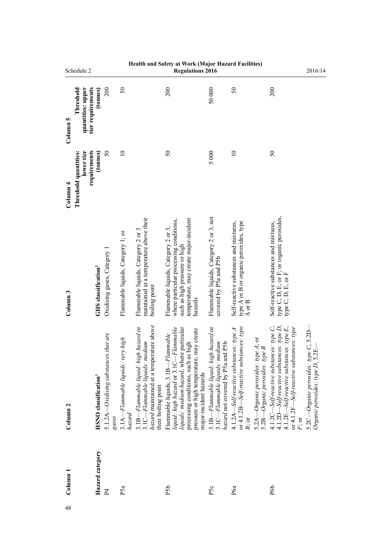|                     | Schedule 2                                          |                                         |                                                      |                                             |                                                                                                                                            | Health and Safety at Work (Major Hazard Facilities)<br><b>Regulations 2016</b>                                                                                                                                                      |                                                                                                              |                                                                                                                                                                                              |                                                                                                                                                                                                    | 2016/14                                                                   |
|---------------------|-----------------------------------------------------|-----------------------------------------|------------------------------------------------------|---------------------------------------------|--------------------------------------------------------------------------------------------------------------------------------------------|-------------------------------------------------------------------------------------------------------------------------------------------------------------------------------------------------------------------------------------|--------------------------------------------------------------------------------------------------------------|----------------------------------------------------------------------------------------------------------------------------------------------------------------------------------------------|----------------------------------------------------------------------------------------------------------------------------------------------------------------------------------------------------|---------------------------------------------------------------------------|
| Column 5            | tier requirements<br>quantities: upper<br>Threshold | (tonnes)                                | 200                                                  | $50\,$                                      |                                                                                                                                            | 200                                                                                                                                                                                                                                 | 50000                                                                                                        | 50                                                                                                                                                                                           | 200                                                                                                                                                                                                |                                                                           |
| Column 4            | lower tier<br>requirements<br>Threshold quantities: | (tonnes)                                | $\mathcal{S}$                                        | $\equiv$                                    |                                                                                                                                            | $\mathcal{S}$                                                                                                                                                                                                                       | 5000                                                                                                         | $\equiv$                                                                                                                                                                                     | $50\,$                                                                                                                                                                                             |                                                                           |
| Column <sub>3</sub> |                                                     | GHS classification <sup>2</sup>         | Oxidising gases, Category 1                          | Flammable liquids, Category 1; or           | maintained at a temperature above their<br>Flammable liquids, Category 2 or 3<br>boiling point                                             | temperature, may create major-incident<br>where particular processing conditions,<br>Flammable liquids, Category 2 or 3,<br>such as high pressure or high<br>hazards                                                                | Flammable liquids, Category 2 or 3, not<br>covered by P5a and P5b                                            | type A or B or organic peroxides, type<br>Self-reactive substances and mixtures,<br>A or $\bf B$                                                                                             | type C, D, E, or F; or organic peroxides,<br>type C, D, E, or F<br>Self-reactive substances and mixtures,                                                                                          |                                                                           |
| Column <sub>2</sub> |                                                     | <b>HSNO</b> classification <sup>1</sup> | that are<br>5.1.2 $A$ —Oxidising substances<br>gases | 3.1A-Flammable liquids: very high<br>hazard | hazard maintained at a temperature above<br>3.1B-Flammable liquid: high hazard or<br>3.1C—Flammable liquids: medium<br>their boiling point | liquid: high hazard or 3.1C-Flammable<br>liquids: medium hazard, where particular<br>pressure or high temperature, may create<br>Flammable liquids, 3.1B-Flammable<br>processing conditions, such as high<br>major-incident hazards | 3.1B—Flammable liquid: high hazard or<br>hazard not covered by P5a and P5b<br>3.1C-Flammable liquids: medium | or $4.1.2B-Self\text{-}reactive\text{ substances: type}$<br>$4.1.2A - Self$ -reactive substances: type A<br>5.2A—Organic peroxides: type A; or<br>5.2B-Organic peroxides: type B<br>$B$ ; or | 4.1.2D-Self-reactive substances: type D,<br>$4.1.2C - SeV$ -reactive substances: type $C$ ,<br>$4.1.2E-Self$ -reactive substances: type E,<br>or 4.1.2F-Self-reactive substances: type<br>$F$ ; or | 5.2C—Organic peroxides: type C, 5.2D—<br>Organic peroxides: type D, 5.2E— |
| Colum <sub>1</sub>  |                                                     | Hazard category                         | $\overline{P}$                                       | P5a                                         |                                                                                                                                            | P <sub>5</sub> b                                                                                                                                                                                                                    | P5c                                                                                                          | P6a                                                                                                                                                                                          | P6 <sub>0</sub>                                                                                                                                                                                    |                                                                           |
| 48                  |                                                     |                                         |                                                      |                                             |                                                                                                                                            |                                                                                                                                                                                                                                     |                                                                                                              |                                                                                                                                                                                              |                                                                                                                                                                                                    |                                                                           |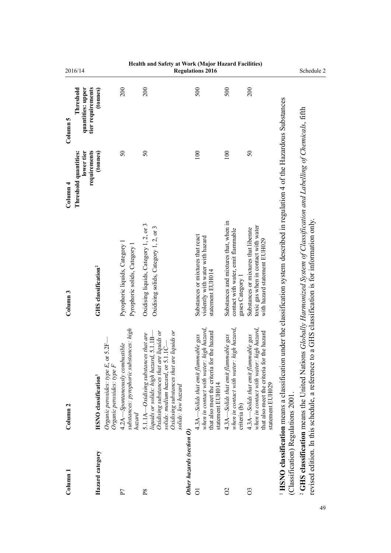| Column 1                           | Column <sub>2</sub>                                                                                                                                                                                                                     | Column <sub>3</sub>                                                                                          | Threshold quantities:<br>Column <sub>4</sub> | Threshold<br>Column 5                              | 2016/14                                             |
|------------------------------------|-----------------------------------------------------------------------------------------------------------------------------------------------------------------------------------------------------------------------------------------|--------------------------------------------------------------------------------------------------------------|----------------------------------------------|----------------------------------------------------|-----------------------------------------------------|
| Hazard category                    | $5.2F-$<br>Organic peroxides: type E, or<br>Organic peroxides: type F<br><b>HSNO</b> classification <sup>1</sup>                                                                                                                        | GHS classification <sup>2</sup>                                                                              | lower tier<br>requirements<br>(tonnes)       | tier requirements<br>quantities: upper<br>(tonnes) |                                                     |
| P <sub>7</sub>                     | substances: pyrophoric substances: high<br>4.2A—Spontaneously combustible<br>hazard                                                                                                                                                     | Pyrophoric liquids, Category 1<br>Pyrophoric solids, Category 1                                              | $\mathcal{S}$                                | 200                                                |                                                     |
| $_{\rm P8}$                        | comong substances that are liquids or<br>solids: medium hazard, or 5.1.1C—<br>liquids or<br>5.1.1A—Oxidising substances that are<br>$5.1.1B-$<br>Oxidising substances that are<br>liquids or solids: high hazard,<br>solids: low hazard | Oxidising liquids, Category 1, 2, or 3<br>Oxidising solids, Category 1, 2, or 3                              | $\mathcal{S}$                                | 200                                                | Health and Safety at Work (Major Hazard Facilities) |
| Other hazards (section O)          |                                                                                                                                                                                                                                         |                                                                                                              |                                              |                                                    |                                                     |
| $\overline{O}$                     | when in contact with water: high hazard,<br>that also meet the criteria for the hazard<br>4.3A—Solids that emit flammable gas<br>statement EUH014                                                                                       | Substances or mixtures that react<br>violently with water with hazard<br>statement EUH014                    | 100                                          | 500                                                | <b>Regulations 2016</b>                             |
| $\delta$                           | when in contact with water: high hazard,<br>$4.3A$ —Solids that emit flammable gas<br>criteria (b)                                                                                                                                      | Substances and mixtures that, when in<br>contact with water, emit flammable<br>gases Category                | 100                                          | 500                                                |                                                     |
| $\overline{O}$                     | when in contact with water: high hazard,<br>that also meet the criteria for the hazard<br>$4.3A$ —Solids that emit flammable gas<br>statement EUH029                                                                                    | toxic gas when in contact with water<br>Substances or mixtures that liberate<br>with hazard statement EUH029 | $50\,$                                       | 200                                                |                                                     |
| (Classification) Regulations 2001. | <sup>1</sup> HSNO classification means a classification under the classification system described in regulation 4 of the Hazardous Substances                                                                                           |                                                                                                              |                                              |                                                    |                                                     |
|                                    | <sup>2</sup> GHS classification means the United Nations Globally Harmonized System of Classification and Labelling of Chemicals, fifth<br>revised edition. In this schedule, a reference to                                            | a GHS classification is for information only.                                                                |                                              |                                                    | Schedule 2                                          |
|                                    |                                                                                                                                                                                                                                         |                                                                                                              |                                              |                                                    |                                                     |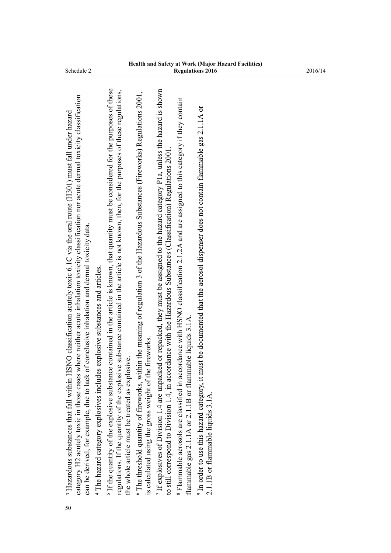| 50 | category H2 acutely toxic in those cases where neither acute inhalation toxicity classification nor acute dermal toxicity classification<br>HSNO classification acutely toxic 6.1C via the oral route $(H301)$ must fall under hazard<br>can be derived, for example, due to lack of conclusive inhalation and dermal toxicity data.<br><sup>3</sup> Hazardous substances that fall within |
|----|--------------------------------------------------------------------------------------------------------------------------------------------------------------------------------------------------------------------------------------------------------------------------------------------------------------------------------------------------------------------------------------------|
|    | <sup>4</sup> The hazard category explosives includes explosive substances and articles.                                                                                                                                                                                                                                                                                                    |
|    | If the quantity of the explosive substance contained in the article is known, that quantity must be considered for the purposes of these<br>regulations. If the quantity of the explosive substance contained in the article is not known, then, for the purposes of these regulations,<br>the whole article must be treated as explosive.                                                 |
|    | <sup>6</sup> The threshold quantity of fireworks, within the meaning of regulation 3 of the Hazardous Substances (Fireworks) Regulations 2001,<br>is calculated using the gross weight of the fireworks.                                                                                                                                                                                   |
|    | If explosives of Division 1.4 are unpacked or repacked, they must be assigned to the hazard category P1a, unless the hazard is shown<br>to still correspond to Division 1.4, in accordance with the Hazardous Substances (Classification) Regulations 2001.                                                                                                                                |
|    | <sup>8</sup> Flammable aerosols are classified in accordance with HSNO classification 2.1.2A and are assigned to this category if they contain<br>flammable gas 2.1.1A or 2.1.1B or flammable liquids 3.1A.                                                                                                                                                                                |
|    | In order to use this hazard category, it must be documented that the aerosol dispenser does not contain flammable gas 2.1.1A or<br>2.1.1B or flammable liquids 3.1A                                                                                                                                                                                                                        |
|    |                                                                                                                                                                                                                                                                                                                                                                                            |
|    |                                                                                                                                                                                                                                                                                                                                                                                            |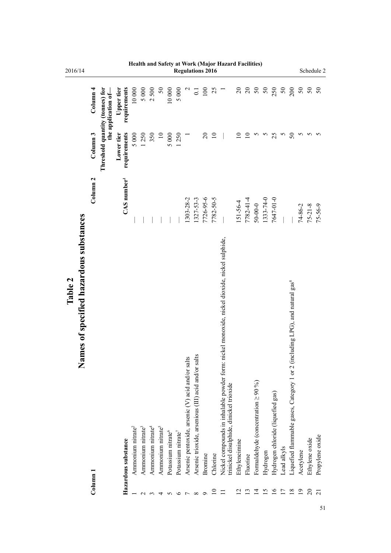| 2016/14 |                                             |                     |                                 |                            |                               |                               |                               |                               |                                |                                |                                                  | <b>Regulations 2016</b>                             |                |                 |                                                                                                                                         |                |                 |                                           |                |                                   |                |                                                                                          |                 |                | Schedule 2      |
|---------|---------------------------------------------|---------------------|---------------------------------|----------------------------|-------------------------------|-------------------------------|-------------------------------|-------------------------------|--------------------------------|--------------------------------|--------------------------------------------------|-----------------------------------------------------|----------------|-----------------|-----------------------------------------------------------------------------------------------------------------------------------------|----------------|-----------------|-------------------------------------------|----------------|-----------------------------------|----------------|------------------------------------------------------------------------------------------|-----------------|----------------|-----------------|
|         |                                             | Column <sub>4</sub> | the application of-             | requirements<br>Upper tier | 10 000                        | 5 000                         | 2500                          | $50\,$                        | 10 000                         | 5 000                          |                                                  | $\overline{C}$                                      | 100            | 25              |                                                                                                                                         | $\overline{c}$ | $\overline{c}$  | $50\,$                                    | $50\,$         | 250                               | $50\,$         | 200                                                                                      | $50\,$          | $50\,$         | $50\,$          |
|         |                                             | Column <sub>3</sub> | Threshold quantity (tonnes) for | requirements<br>Lower tier | 5 000                         | 1250                          | 350                           | $\overline{10}$               | 5 000                          | 1250                           |                                                  |                                                     | $\overline{c}$ | $\overline{10}$ |                                                                                                                                         |                | $\overline{10}$ |                                           | n              | 25                                | S              | $50\,$                                                                                   | 5               | S              | 5               |
|         |                                             | Column <sub>2</sub> |                                 | $CAS$ number <sup>1</sup>  |                               |                               |                               |                               |                                |                                | 1303-28-2                                        | 1327-53-3                                           | 7726-95-6      | 7782-50-5       |                                                                                                                                         | $151 - 56 - 4$ | 7782-41-4       | $50 - 00 - 0$                             | 1333-74-0      | 7647-01-0                         |                |                                                                                          | $74 - 86 - 2$   | $75 - 21 - 8$  | $75 - 56 - 9$   |
| Table 2 | ames of specified hazardous substances<br>Z | Column <sub>1</sub> |                                 | Hazardous substance        | Ammonium nitrate <sup>2</sup> | Ammonium nitrate <sup>3</sup> | Ammonium nitrate <sup>4</sup> | Ammonium nitrate <sup>5</sup> | Potassium nitrate <sup>6</sup> | Potassium nitrate <sup>7</sup> | Arsenic pentoxide, arsenic (V) acid and/or salts | Arsenic trioxide, arsenious (III) acid and/or salts | Bromine        | Chlorine        | Nickel compounds in inhalable powder form: nickel monoxide, nickel dioxide, nickel sulphide,<br>trinickel disulphide, dinickel trioxide | Ethyleneimine  | Fluorine        | Formaldehyde (concentration $\geq 90\%$ ) | Hydrogen       | Hydrogen chloride (liquefied gas) | Lead alkyls    | Liquefied flammable gases, Category 1 or 2 (including LPG), and natural gas <sup>8</sup> | Acetylene       | Ethylene oxide | Propylene oxide |
|         |                                             |                     |                                 |                            |                               |                               |                               |                               |                                | ∽                              |                                                  | $\infty$                                            | $\circ$        | $\subseteq$     |                                                                                                                                         |                | ≌               | 크                                         | $\overline{5}$ | $\overline{16}$                   | $\overline{1}$ | $\frac{8}{18}$                                                                           | $\overline{19}$ | $\overline{c}$ | $\overline{c}$  |

 $\frac{20}{1}$ 

# **Health and Safety at Work (Major Hazard Facilities)**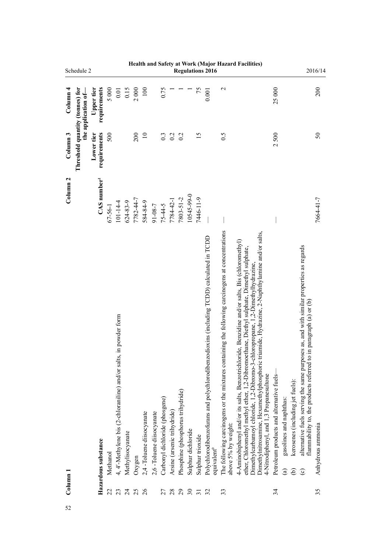|                     | Schedule 2                      |                            |               |                                                                      |                  |           |                          |                          |                                |                             |                                   |                    |                  | <b>Regulations 2016</b>                                                                                             |                                                                                                                         | Health and Safety at Work (Major Hazard Facilities)                                                                                                                                                                                                                                                                                                                                                                       |                                           |                                                                                                                                                                                                           | 2016/14                                                                                   |
|---------------------|---------------------------------|----------------------------|---------------|----------------------------------------------------------------------|------------------|-----------|--------------------------|--------------------------|--------------------------------|-----------------------------|-----------------------------------|--------------------|------------------|---------------------------------------------------------------------------------------------------------------------|-------------------------------------------------------------------------------------------------------------------------|---------------------------------------------------------------------------------------------------------------------------------------------------------------------------------------------------------------------------------------------------------------------------------------------------------------------------------------------------------------------------------------------------------------------------|-------------------------------------------|-----------------------------------------------------------------------------------------------------------------------------------------------------------------------------------------------------------|-------------------------------------------------------------------------------------------|
| Column <sub>4</sub> | the application of-             | requirements<br>Upper tier | 5000          | $0.01\,$                                                             | 0.15             | 2000      | 100                      |                          | 0.75                           |                             |                                   |                    | 75               | 0.001                                                                                                               | $\mathbf{\sim}$                                                                                                         |                                                                                                                                                                                                                                                                                                                                                                                                                           | 25000                                     |                                                                                                                                                                                                           | 200                                                                                       |
| Column <sub>3</sub> | Threshold quantity (tonnes) for | requirements<br>Lower tier | 500           |                                                                      |                  | 200       | $\overline{10}$          |                          | 0.3                            | 0.2                         | 0.2                               |                    | 15               |                                                                                                                     | 0.5                                                                                                                     |                                                                                                                                                                                                                                                                                                                                                                                                                           | 2500                                      |                                                                                                                                                                                                           | 50                                                                                        |
| Column <sub>2</sub> |                                 | $CAS$ number <sup>1</sup>  | $67 - 56 - 1$ | $101 - 14 - 4$                                                       | $624 - 83 - 9$   | 7782-44-7 | 584-84-9                 | 91-08-7                  | $75 - 44 - 5$                  | 7784-42-1                   | 7803-51-2                         | 10545-99-0         | 7446-11-9        |                                                                                                                     |                                                                                                                         |                                                                                                                                                                                                                                                                                                                                                                                                                           |                                           |                                                                                                                                                                                                           | 7664-41-7                                                                                 |
| $_{\rm Column\ 1}$  |                                 | Hazardous substance        | Methanol      | in powder form<br>4, 4'-Methylene bis (2-chloraniline) and/or salts, | Methylisocyanate | Oxygen    | 2,4-Toluene diisocyanate | 2,6-Toluene diisocyanate | Carbonyl dichloride (phosgene) | Arsine (arsenic trihydride) | Phosphine (phosphorus trihydride) | Sulphur dichloride | Sulphur trioxide | Polychlorodibenzofurans and polychlorodibenzodioxins (including TCDD) calculated in TCDD<br>equivalent <sup>9</sup> | The following carcinogens or the mixtures containing the following carcinogens at concentrations<br>above 5% by weight: | Dimethylnitrosamine, Hexamethylphosphoric triamide, Hydrazine, 2-Naphthylamine and/or salts,<br>4-Aminobiphenyl and/or its salts, Benzotrichloride, Benzidine and/or salts, Bis (chloromethyl)<br>ether, Chloromethyl methyl ether, 1,2-Dibromoethane, Diethyl sulphate, Dimethyl sulphate,<br>Dimethylcarbamoyl chloride, 1,2-Dibromo-3-chloropropane, 1,2-Dimethylhydrazine,<br>4-Nitrodiphenyl, and 1,3 Propanesultone | Petroleum products and alternative fuels- | alternative fuels serving the same purposes as, and with similar properties as regards<br>kerosenes (including jet fuels):<br>gasolines and naphthas:<br>ව<br>$\widehat{\mathbf{e}}$<br>$\widehat{\circ}$ | in paragraph (a) or (b)<br>flammability to, the products referred to<br>Anhydrous ammonia |
|                     |                                 |                            | 22            | 23                                                                   | $\overline{c}$   | 25        | 26                       |                          | 27                             | 28                          | 29                                | $30\,$             | $\overline{31}$  | 32                                                                                                                  | 33                                                                                                                      |                                                                                                                                                                                                                                                                                                                                                                                                                           | 34                                        |                                                                                                                                                                                                           | 35                                                                                        |
| 52                  |                                 |                            |               |                                                                      |                  |           |                          |                          |                                |                             |                                   |                    |                  |                                                                                                                     |                                                                                                                         |                                                                                                                                                                                                                                                                                                                                                                                                                           |                                           |                                                                                                                                                                                                           |                                                                                           |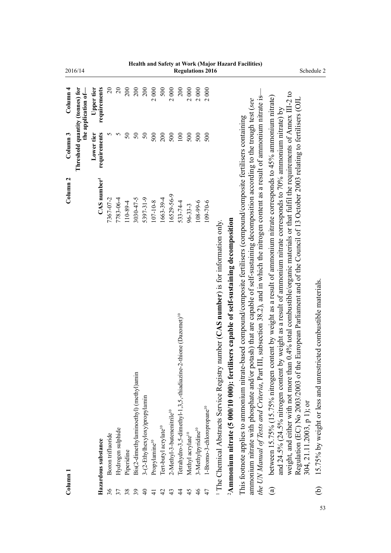| 2016/14                                                |                            |                   |                   |            |                                        |                               |                           |                                   |                                        |                                                                             |                               |                                | <b>Regulations 2016</b>               |                                                      |                                                                                                    |                                                                                                                                                                                                                                                                                                                                                                                                           |                                                                                                                                                                                                                                                                                                                                                                                                                                                                                                                 | Schedule 2                                                                                   |
|--------------------------------------------------------|----------------------------|-------------------|-------------------|------------|----------------------------------------|-------------------------------|---------------------------|-----------------------------------|----------------------------------------|-----------------------------------------------------------------------------|-------------------------------|--------------------------------|---------------------------------------|------------------------------------------------------|----------------------------------------------------------------------------------------------------|-----------------------------------------------------------------------------------------------------------------------------------------------------------------------------------------------------------------------------------------------------------------------------------------------------------------------------------------------------------------------------------------------------------|-----------------------------------------------------------------------------------------------------------------------------------------------------------------------------------------------------------------------------------------------------------------------------------------------------------------------------------------------------------------------------------------------------------------------------------------------------------------------------------------------------------------|----------------------------------------------------------------------------------------------|
| Column <sub>4</sub><br>the application of-             | requirements<br>Upper tier | $\overline{20}$   | $\overline{c}$    | 200        | 200                                    | 200                           | 2000                      | 500                               | 2000                                   | 200                                                                         | 2000                          | 2000                           | 2000                                  |                                                      |                                                                                                    |                                                                                                                                                                                                                                                                                                                                                                                                           |                                                                                                                                                                                                                                                                                                                                                                                                                                                                                                                 |                                                                                              |
| Threshold quantity (tonnes) for<br>Column <sub>3</sub> | requirements<br>Lower tier | S                 | 5                 | $50\,$     | $50\,$                                 | $50\,$                        | 500                       | 200                               | 500                                    | 100                                                                         | 500                           | 500                            | 500                                   |                                                      |                                                                                                    |                                                                                                                                                                                                                                                                                                                                                                                                           |                                                                                                                                                                                                                                                                                                                                                                                                                                                                                                                 |                                                                                              |
| Column <sub>2</sub>                                    | CAS number <sup>1</sup>    | 7367-07-2         | 7783-06-4         | 110-89-4   | 3030-47-5                              | 5397-31-9                     | 107-10-8                  | 1663-39-4                         | 16529-56-9                             | 533-74-4                                                                    | $96 - 33 - 3$                 | 108-99-6                       | 109-70-6                              | number $(CAS$ number) is for information only.       |                                                                                                    |                                                                                                                                                                                                                                                                                                                                                                                                           |                                                                                                                                                                                                                                                                                                                                                                                                                                                                                                                 |                                                                                              |
|                                                        | Hazardous substance        | Boron trifluoride | Hydrogen sulphide | Piperidine | Bis(2-dimethylaminoethyl) (methyl)amin | 3-(2-Ethylhexyloxy)propylamin | Propylamine <sup>10</sup> | Tert-butyl acrylate <sup>10</sup> | 2-Methyl-3-butenenitrile <sup>10</sup> | Tetrahydro-3,5-dimethyl-1,3,5,-thiadiazine-2-thione (Dazomet) <sup>10</sup> | Methyl acrylate <sup>10</sup> | 3-Methylpyridine <sup>10</sup> | 1-Bromo-3-chloropropane <sup>10</sup> | <sup>1</sup> The Chemical Abstracts Service Registry | <sup>2</sup> Ammonium nitrate (5 000/10 000): fertilisers capable of self-sustaining decomposition | the UN Manual of Tests and Criteria, Part III, subsection 38.2), and in which the nitrogen content as a result of ammonium nitrate is-<br>ammonium nitrate with phosphate and/or potash) that are capable of self-sustaining decomposition according to the trough test (see<br>This footnote applies to ammonium nitrate-based compound/composite fertilisers (compound/composite fertilisers containing | weight, and either with not more than 0.4% total combustible/organic materials or that fulfil the requirements of Annex III-2 to<br>between 15.75% (15.75% nitrogen content by weight as a result of ammonium nitrate corresponds to 45% ammonium nitrate)<br>Regulation (EC) No 2003/2003 of the European Parliament and of the Council of 13 October 2003 relating to fertilisers (OJL<br>and 24.5% (24.5% nitrogen content by weight as a result of ammonium nitrate corresponds to 70% ammonium nitrate) by | 15.75% by weight or less and unrestricted combustible materials<br>304, 21.11.2003, p 1); or |
| Column 1                                               |                            | 36                | 37                | 38         | 39                                     | $\overline{4}$                | $\overline{4}$            | 42                                | 43                                     | $\overline{4}$                                                              | 45                            | $\frac{4}{6}$                  | 47                                    |                                                      |                                                                                                    |                                                                                                                                                                                                                                                                                                                                                                                                           | $\mathbf{G}$                                                                                                                                                                                                                                                                                                                                                                                                                                                                                                    | $\widehat{\oplus}$                                                                           |

53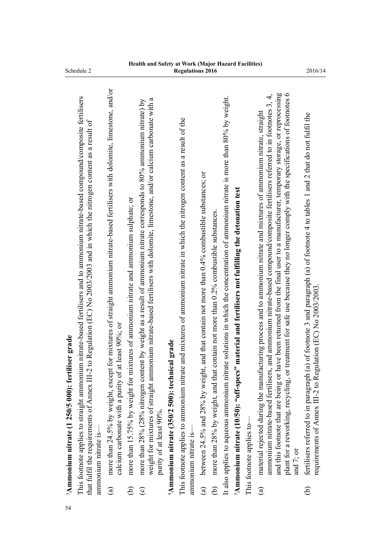| 54 |                        | <sup>3</sup> Ammonium nitrate (1 250/5 000): fertiliser grade                                                                                                                                                                                                                                                                                                                                                                                                                                                                              |
|----|------------------------|--------------------------------------------------------------------------------------------------------------------------------------------------------------------------------------------------------------------------------------------------------------------------------------------------------------------------------------------------------------------------------------------------------------------------------------------------------------------------------------------------------------------------------------------|
|    |                        | This footnote applies to straight ammonium nitrate-based fertilisers and to ammonium nitrate-based compound/composite fertilisers<br>that fulfil the requirements of Annex III-2 to Regulation (EC) No 2003/2003 and in which the nitrogen content as a result of<br>ammonium nitrate is-                                                                                                                                                                                                                                                  |
|    | $\mathbf{\widehat{a}}$ | more than 24.5% by weight, except for mixtures of straight ammonium nitrate-based fertilisers with dolomite, limestone, and/or<br>calcium carbonate with a purity of at least 90%; or                                                                                                                                                                                                                                                                                                                                                      |
|    | ව                      | more than 15.75% by weight for mixtures of ammonium nitrate and ammonium sulphate; or                                                                                                                                                                                                                                                                                                                                                                                                                                                      |
|    | $\odot$                | weight for mixtures of straight ammonium nitrate-based fertilisers with dolomite, limestone, and/or calcium carbonate with a<br>more than 28% (28% nitrogen content by weight as a result of ammonium nitrate corresponds to 80% ammonium nitrate) by<br>purity of at least 90%.                                                                                                                                                                                                                                                           |
|    |                        | ical grade<br>$4$ Ammonium nitrate (350/2 500): techn                                                                                                                                                                                                                                                                                                                                                                                                                                                                                      |
|    |                        | This footnote applies to ammonium nitrate and mixtures of ammonium nitrate in which the nitrogen content as a result of the<br>ammonium nitrate is-                                                                                                                                                                                                                                                                                                                                                                                        |
|    | $\widehat{a}$          | between 24.5% and 28% by weight, and that contain not more than $0.4\%$ combustible substances; or                                                                                                                                                                                                                                                                                                                                                                                                                                         |
|    | ව                      | more than 28% by weight, and that contain not more than 0.2% combustible substances.                                                                                                                                                                                                                                                                                                                                                                                                                                                       |
|    |                        | It also applies to aqueous ammonium nitrate solutions in which the concentration of ammonium nitrate is more than 80% by weight.                                                                                                                                                                                                                                                                                                                                                                                                           |
|    |                        | <sup>5</sup> Ammonium nitrate (10/50): "off-specs" material and fertilisers not fulfilling the detonation test                                                                                                                                                                                                                                                                                                                                                                                                                             |
|    |                        | This footnote applies to-                                                                                                                                                                                                                                                                                                                                                                                                                                                                                                                  |
|    | $\mathbf{\widehat{a}}$ | and this footnote that are being or have been returned from the final user to a manufacturer, temporary storage, or reprocessing<br>plant for a reworking, recycling, or treatment for safe use because they no longer comply with the specifications of footnotes 6<br>ammonium nitrate-based fertilisers, and ammonium nitrate-based compound/composite fertilisers referred to in footnotes 3, 4,<br>material rejected during the manufacturing process and to ammonium nitrate and mixtures of ammonium nitrate, straight<br>and 7; or |
|    | $\widehat{e}$          | (a) of footnote 3 and paragraph (a) of footnote 4 to tables 1 and 2 that do not fulfil the<br>gulation (EC) No 2003/2003<br>fertilisers referred to in paragraph<br>requirements of Annex III-2 to Re                                                                                                                                                                                                                                                                                                                                      |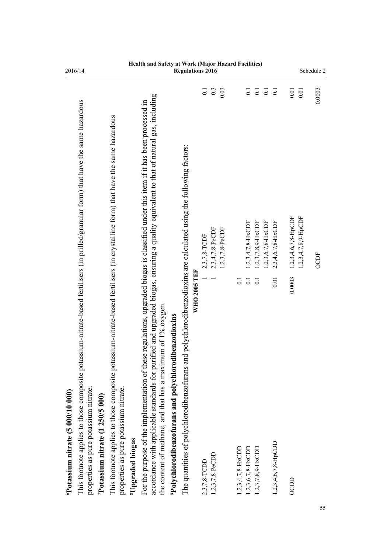| 2016/14                                                                                                                              |                                                                                                                                 | Health and Safety at Work (Major Hazard Facilities)                                                                                                                                                                                                                             |                                                                   | <b>Regulations 2016</b>                                                                     |                  |                 |                   |                      |                                         |                                          |                           |                     |                               |                       | Schedule 2  |
|--------------------------------------------------------------------------------------------------------------------------------------|---------------------------------------------------------------------------------------------------------------------------------|---------------------------------------------------------------------------------------------------------------------------------------------------------------------------------------------------------------------------------------------------------------------------------|-------------------------------------------------------------------|---------------------------------------------------------------------------------------------|------------------|-----------------|-------------------|----------------------|-----------------------------------------|------------------------------------------|---------------------------|---------------------|-------------------------------|-----------------------|-------------|
|                                                                                                                                      |                                                                                                                                 |                                                                                                                                                                                                                                                                                 |                                                                   |                                                                                             | $\overline{0}$ . | 0.3             | 0.03              |                      | $\overline{0}$                          | $\overline{\phantom{0}}\phantom{0}5$     | $\overline{0}$ .          |                     | $0.01\,$                      | $0.01\,$              | 0.0003      |
| This footnote applies to those composite potassium-nitrate-based fertilisers (in prilled/granular form) that have the same hazardous | This footnote applies to those composite potassium-nitrate-based fertilisers (in crystalline form) that have the same hazardous | accordance with applicable standards for purified and upgraded biogas, ensuring a quality equivalent to that of natural gas, including<br>For the purpose of the implementation of these regulations, upgraded biogas is classified under this item if it has been processed in |                                                                   | polychlorodibenzodioxins are calculated using the following factors:<br><b>WHO 2005 TEF</b> | 2,3,7,8-TCDF     | 2,3,4,7,8-PeCDF | $1,2,3,7,8-PeCDF$ | $\overline{0}$ .     | $1,2,3,4,7,8-HxCDF$<br>$\overline{0}$ . | $1,2,3,7,8,9$ -HxCDF<br>$\overline{0}$ . | 1,2,3,6,7,8-HxCDF<br>0.01 | 2,3,4,6,7,8-HxCDF   | 1,2,3,4,6,7,8-HpCDF<br>0.0003 | $1,2,3,4,7,8,9-HpCDF$ | <b>OCDF</b> |
| properties as pure potassium nitrate.<br>$6$ Potassium nitrate (5 000/10 000)<br>Potassium nitrate (1 250/5 000)                     | properties as pure potassium nitrate.<br><sup>8</sup> Upgraded biogas                                                           | the content of methane, and that has a maximum of 1% oxygen                                                                                                                                                                                                                     | <sup>9</sup> Polychlorodibenzofurans and polychlorodibenzodioxins | The quantities of polychlorodibenzofurans and                                               | 2,3,7,8-TCDD     | 1,2,3,7,8-PeCDD |                   | $1,2,3,4,7,8$ -HxCDD | $1,2,3,6,7,8-HxCDD$                     | 1,2,3,7,8,9-HxCDD                        |                           | 1,2,3,4,6,7,8-HpCDD | <b>OCDD</b>                   |                       | 55          |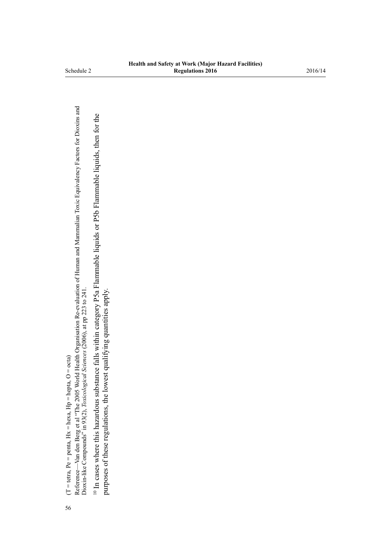$(T = teta, Pe = penta, Hx = hexa, Hp = hepta, O = octa)$ (T = tetra, Pe = penta, Hx = hexa, Hp = hepta, O = octa) 56

Reference—Van den Berg et al "The 2005 World Health Organisation Re-evaluation of Human and Mammalian Toxic Equivalency Factors for Dioxins and<br>Dioxin-like Compounds" in 93(2), Toxicological Sciences (2006), at pp 223 to 2 Reference—Van den Berg et al "The 2005 World Health Organisation Re-evaluation of Human and Mammalian Toxic Equivalency Factors for Dioxins and Dioxin-like Compounds" in 93(2), *Toxicological Sciences* (2006), at pp 223 to 241.

<sup>10</sup> In cases where this hazardous substance falls within category P5a Flammable liquids or P5b Flammable liquids, then for the 10 In cases where this hazardous substance falls within category P5a Flammable liquids or P5b Flammable liquids, then for the purposes of these regulations, the lowest qualifying quantities apply. purposes of these regulations, the lowest qualifying quantities apply.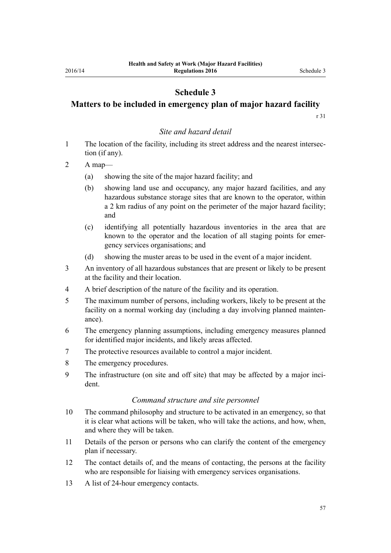# **Schedule 3**

# <span id="page-56-0"></span>**Matters to be included in emergency plan of major hazard facility**

[r 31](#page-19-0)

#### *Site and hazard detail*

1 The location of the facility, including its street address and the nearest intersection (if any).

2 A map—

- (a) showing the site of the major hazard facility; and
- (b) showing land use and occupancy, any major hazard facilities, and any hazardous substance storage sites that are known to the operator, within a 2 km radius of any point on the perimeter of the major hazard facility; and
- (c) identifying all potentially hazardous inventories in the area that are known to the operator and the location of all staging points for emergency services organisations; and
- (d) showing the muster areas to be used in the event of a major incident.
- 3 An inventory of all hazardous substances that are present or likely to be present at the facility and their location.
- 4 A brief description of the nature of the facility and its operation.
- 5 The maximum number of persons, including workers, likely to be present at the facility on a normal working day (including a day involving planned maintenance).
- 6 The emergency planning assumptions, including emergency measures planned for identified major incidents, and likely areas affected.
- 7 The protective resources available to control a major incident.
- 8 The emergency procedures.
- 9 The infrastructure (on site and off site) that may be affected by a major incident.

#### *Command structure and site personnel*

- 10 The command philosophy and structure to be activated in an emergency, so that it is clear what actions will be taken, who will take the actions, and how, when, and where they will be taken.
- 11 Details of the person or persons who can clarify the content of the emergency plan if necessary.
- 12 The contact details of, and the means of contacting, the persons at the facility who are responsible for liaising with emergency services organisations.
- 13 A list of 24-hour emergency contacts.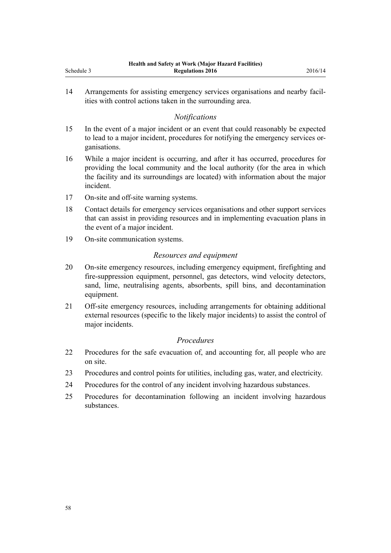| Schedule 3 | Health and Safety at Work (Major Hazard Facilities)<br>2016/14<br><b>Regulations 2016</b>                                                                                                                                                                      |
|------------|----------------------------------------------------------------------------------------------------------------------------------------------------------------------------------------------------------------------------------------------------------------|
| 14         | Arrangements for assisting emergency services organisations and nearby facil-<br>ities with control actions taken in the surrounding area.                                                                                                                     |
|            | <b>Notifications</b>                                                                                                                                                                                                                                           |
| 15         | In the event of a major incident or an event that could reasonably be expected<br>to lead to a major incident, procedures for notifying the emergency services or-<br>ganisations.                                                                             |
| 16         | While a major incident is occurring, and after it has occurred, procedures for<br>providing the local community and the local authority (for the area in which<br>the facility and its surroundings are located) with information about the major<br>incident. |
| 17         | On-site and off-site warning systems.                                                                                                                                                                                                                          |
| 18         | Contact details for emergency services organisations and other support services<br>that can assist in providing resources and in implementing evacuation plans in<br>the event of a major incident.                                                            |
| 19         | On-site communication systems.                                                                                                                                                                                                                                 |
|            | Resources and equipment                                                                                                                                                                                                                                        |
| 20         | On-site emergency resources, including emergency equipment, firefighting and<br>fire-suppression equipment, personnel, gas detectors, wind velocity detectors,<br>sand, lime, neutralising agents, absorbents, spill bins, and decontamination<br>equipment.   |
| 21         | Off-site emergency resources, including arrangements for obtaining additional<br>external resources (specific to the likely major incidents) to assist the control of<br>major incidents.                                                                      |
|            | Procedures                                                                                                                                                                                                                                                     |
| 22         | Procedures for the safe evacuation of, and accounting for, all people who are<br>on site.                                                                                                                                                                      |
| 23         | Procedures and control points for utilities, including gas, water, and electricity.                                                                                                                                                                            |
| 24         | Procedures for the control of any incident involving hazardous substances.                                                                                                                                                                                     |
| 25         | Procedures for decontamination following an incident involving hazardous<br>substances.                                                                                                                                                                        |
|            |                                                                                                                                                                                                                                                                |
|            |                                                                                                                                                                                                                                                                |
|            |                                                                                                                                                                                                                                                                |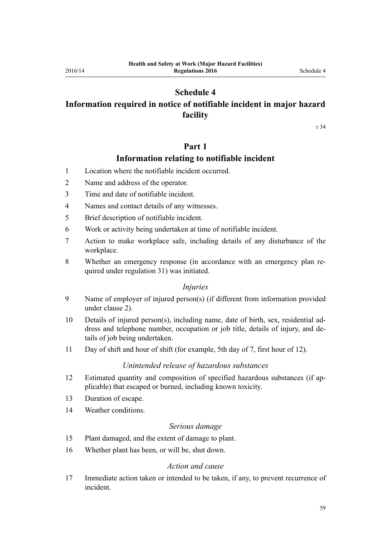# **Schedule 4**

# <span id="page-58-0"></span>**Information required in notice of notifiable incident in major hazard facility**

[r 34](#page-21-0)

# **Part 1**

# **Information relating to notifiable incident**

- 1 Location where the notifiable incident occurred.
- 2 Name and address of the operator.
- 3 Time and date of notifiable incident.
- 4 Names and contact details of any witnesses.
- 5 Brief description of notifiable incident.
- 6 Work or activity being undertaken at time of notifiable incident.
- 7 Action to make workplace safe, including details of any disturbance of the workplace.
- 8 Whether an emergency response (in accordance with an emergency plan required under [regulation 31\)](#page-19-0) was initiated.

#### *Injuries*

- 9 Name of employer of injured person(s) (if different from information provided under clause 2).
- 10 Details of injured person(s), including name, date of birth, sex, residential address and telephone number, occupation or job title, details of injury, and details of job being undertaken.
- 11 Day of shift and hour of shift (for example, 5th day of 7, first hour of 12).

### *Unintended release of hazardous substances*

- 12 Estimated quantity and composition of specified hazardous substances (if applicable) that escaped or burned, including known toxicity.
- 13 Duration of escape.
- 14 Weather conditions.

#### *Serious damage*

- 15 Plant damaged, and the extent of damage to plant.
- 16 Whether plant has been, or will be, shut down.

#### *Action and cause*

17 Immediate action taken or intended to be taken, if any, to prevent recurrence of incident.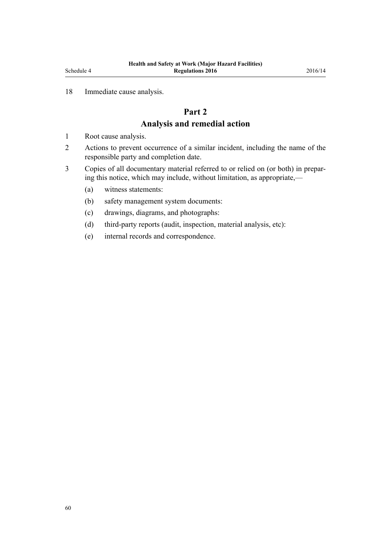#### <span id="page-59-0"></span>18 Immediate cause analysis.

# **Part 2 Analysis and remedial action**

- 1 Root cause analysis.
- 2 Actions to prevent occurrence of a similar incident, including the name of the responsible party and completion date.
- 3 Copies of all documentary material referred to or relied on (or both) in preparing this notice, which may include, without limitation, as appropriate,—
	- (a) witness statements:
	- (b) safety management system documents:
	- (c) drawings, diagrams, and photographs:
	- (d) third-party reports (audit, inspection, material analysis, etc):
	- (e) internal records and correspondence.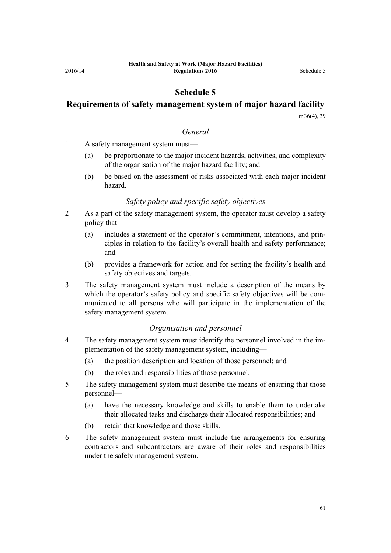# **Schedule 5**

# <span id="page-60-0"></span>**Requirements of safety management system of major hazard facility**

[rr 36\(4\),](#page-23-0) [39](#page-26-0)

#### *General*

- 1 A safety management system must—
	- (a) be proportionate to the major incident hazards, activities, and complexity of the organisation of the major hazard facility; and
	- (b) be based on the assessment of risks associated with each major incident hazard.

#### *Safety policy and specific safety objectives*

- 2 As a part of the safety management system, the operator must develop a safety policy that—
	- (a) includes a statement of the operator's commitment, intentions, and principles in relation to the facility's overall health and safety performance; and
	- (b) provides a framework for action and for setting the facility's health and safety objectives and targets.
- 3 The safety management system must include a description of the means by which the operator's safety policy and specific safety objectives will be communicated to all persons who will participate in the implementation of the safety management system.

#### *Organisation and personnel*

- 4 The safety management system must identify the personnel involved in the implementation of the safety management system, including—
	- (a) the position description and location of those personnel; and
	- (b) the roles and responsibilities of those personnel.
- 5 The safety management system must describe the means of ensuring that those personnel—
	- (a) have the necessary knowledge and skills to enable them to undertake their allocated tasks and discharge their allocated responsibilities; and
	- (b) retain that knowledge and those skills.
- 6 The safety management system must include the arrangements for ensuring contractors and subcontractors are aware of their roles and responsibilities under the safety management system.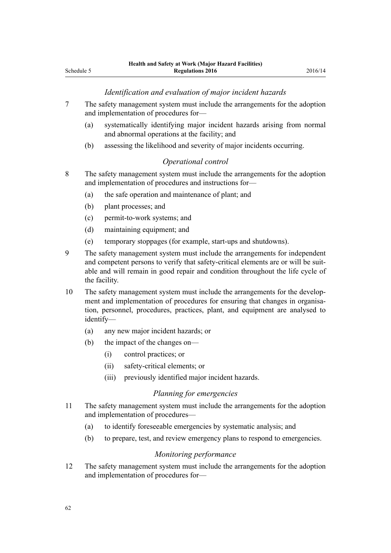#### *Identification and evaluation of major incident hazards*

- 7 The safety management system must include the arrangements for the adoption and implementation of procedures for—
	- (a) systematically identifying major incident hazards arising from normal and abnormal operations at the facility; and
	- (b) assessing the likelihood and severity of major incidents occurring.

#### *Operational control*

- 8 The safety management system must include the arrangements for the adoption and implementation of procedures and instructions for—
	- (a) the safe operation and maintenance of plant; and
	- (b) plant processes; and
	- (c) permit-to-work systems; and
	- (d) maintaining equipment; and
	- (e) temporary stoppages (for example, start-ups and shutdowns).
- 9 The safety management system must include the arrangements for independent and competent persons to verify that safety-critical elements are or will be suitable and will remain in good repair and condition throughout the life cycle of the facility.
- 10 The safety management system must include the arrangements for the development and implementation of procedures for ensuring that changes in organisation, personnel, procedures, practices, plant, and equipment are analysed to identify—
	- (a) any new major incident hazards; or
	- (b) the impact of the changes on—
		- (i) control practices; or
		- (ii) safety-critical elements; or
		- (iii) previously identified major incident hazards.

#### *Planning for emergencies*

- 11 The safety management system must include the arrangements for the adoption and implementation of procedures—
	- (a) to identify foreseeable emergencies by systematic analysis; and
	- (b) to prepare, test, and review emergency plans to respond to emergencies.

#### *Monitoring performance*

12 The safety management system must include the arrangements for the adoption and implementation of procedures for—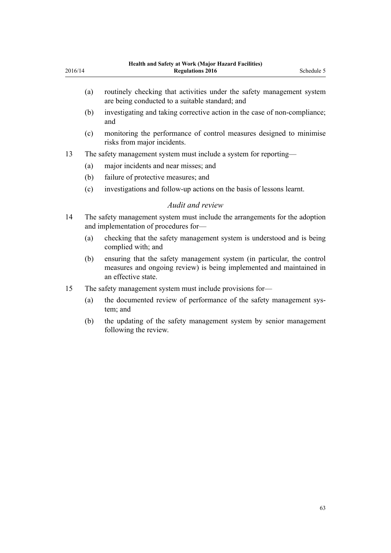|         | <b>Health and Safety at Work (Major Hazard Facilities)</b> |            |
|---------|------------------------------------------------------------|------------|
| 2016/14 | <b>Regulations 2016</b>                                    | Schedule 5 |
|         |                                                            |            |
|         |                                                            |            |

- (a) routinely checking that activities under the safety management system are being conducted to a suitable standard; and
- (b) investigating and taking corrective action in the case of non-compliance; and
- (c) monitoring the performance of control measures designed to minimise risks from major incidents.
- 13 The safety management system must include a system for reporting—
	- (a) major incidents and near misses; and
	- (b) failure of protective measures; and
	- (c) investigations and follow-up actions on the basis of lessons learnt.

#### *Audit and review*

- 14 The safety management system must include the arrangements for the adoption and implementation of procedures for—
	- (a) checking that the safety management system is understood and is being complied with; and
	- (b) ensuring that the safety management system (in particular, the control measures and ongoing review) is being implemented and maintained in an effective state.
- 15 The safety management system must include provisions for—
	- (a) the documented review of performance of the safety management system; and
	- (b) the updating of the safety management system by senior management following the review.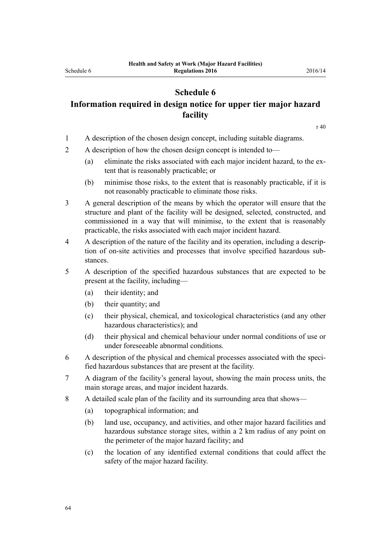# **Schedule 6**

# <span id="page-63-0"></span>**Information required in design notice for upper tier major hazard facility**

[r 40](#page-27-0)

- 1 A description of the chosen design concept, including suitable diagrams.
- 2 A description of how the chosen design concept is intended to—
	- (a) eliminate the risks associated with each major incident hazard, to the extent that is reasonably practicable; or
	- (b) minimise those risks, to the extent that is reasonably practicable, if it is not reasonably practicable to eliminate those risks.
- 3 A general description of the means by which the operator will ensure that the structure and plant of the facility will be designed, selected, constructed, and commissioned in a way that will minimise, to the extent that is reasonably practicable, the risks associated with each major incident hazard.
- 4 A description of the nature of the facility and its operation, including a description of on-site activities and processes that involve specified hazardous substances.
- 5 A description of the specified hazardous substances that are expected to be present at the facility, including—
	- (a) their identity; and
	- (b) their quantity; and
	- (c) their physical, chemical, and toxicological characteristics (and any other hazardous characteristics); and
	- (d) their physical and chemical behaviour under normal conditions of use or under foreseeable abnormal conditions.
- 6 A description of the physical and chemical processes associated with the specified hazardous substances that are present at the facility.
- 7 A diagram of the facility's general layout, showing the main process units, the main storage areas, and major incident hazards.
- 8 A detailed scale plan of the facility and its surrounding area that shows—
	- (a) topographical information; and
	- (b) land use, occupancy, and activities, and other major hazard facilities and hazardous substance storage sites, within a 2 km radius of any point on the perimeter of the major hazard facility; and
	- (c) the location of any identified external conditions that could affect the safety of the major hazard facility.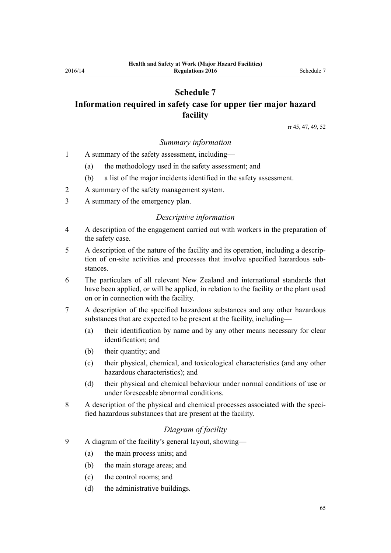# <span id="page-64-0"></span>**Schedule 7 Information required in safety case for upper tier major hazard facility**

[rr 45,](#page-29-0) [47](#page-30-0), [49,](#page-30-0) [52](#page-32-0)

#### *Summary information*

- 1 A summary of the safety assessment, including—
	- (a) the methodology used in the safety assessment; and
	- (b) a list of the major incidents identified in the safety assessment.
- 2 A summary of the safety management system.
- 3 A summary of the emergency plan.

#### *Descriptive information*

- 4 A description of the engagement carried out with workers in the preparation of the safety case.
- 5 A description of the nature of the facility and its operation, including a description of on-site activities and processes that involve specified hazardous substances.
- 6 The particulars of all relevant New Zealand and international standards that have been applied, or will be applied, in relation to the facility or the plant used on or in connection with the facility.
- 7 A description of the specified hazardous substances and any other hazardous substances that are expected to be present at the facility, including—
	- (a) their identification by name and by any other means necessary for clear identification; and
	- (b) their quantity; and
	- (c) their physical, chemical, and toxicological characteristics (and any other hazardous characteristics); and
	- (d) their physical and chemical behaviour under normal conditions of use or under foreseeable abnormal conditions.
- 8 A description of the physical and chemical processes associated with the specified hazardous substances that are present at the facility.

#### *Diagram of facility*

- 9 A diagram of the facility's general layout, showing—
	- (a) the main process units; and
	- (b) the main storage areas; and
	- (c) the control rooms; and
	- (d) the administrative buildings.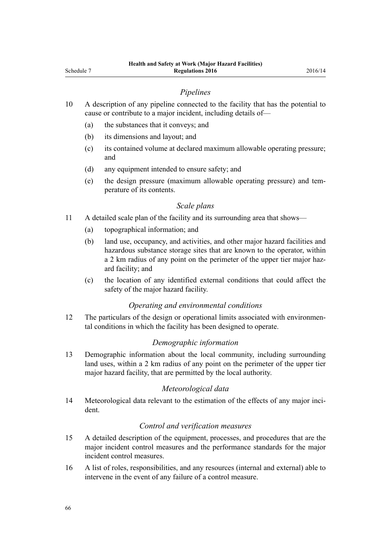- 10 A description of any pipeline connected to the facility that has the potential to cause or contribute to a major incident, including details of—
	- (a) the substances that it conveys; and
	- (b) its dimensions and layout; and
	- (c) its contained volume at declared maximum allowable operating pressure; and
	- (d) any equipment intended to ensure safety; and
	- (e) the design pressure (maximum allowable operating pressure) and temperature of its contents.

#### *Scale plans*

- 11 A detailed scale plan of the facility and its surrounding area that shows—
	- (a) topographical information; and
	- (b) land use, occupancy, and activities, and other major hazard facilities and hazardous substance storage sites that are known to the operator, within a 2 km radius of any point on the perimeter of the upper tier major hazard facility; and
	- (c) the location of any identified external conditions that could affect the safety of the major hazard facility.

#### *Operating and environmental conditions*

12 The particulars of the design or operational limits associated with environmental conditions in which the facility has been designed to operate.

#### *Demographic information*

13 Demographic information about the local community, including surrounding land uses, within a 2 km radius of any point on the perimeter of the upper tier major hazard facility, that are permitted by the local authority.

#### *Meteorological data*

14 Meteorological data relevant to the estimation of the effects of any major incident.

#### *Control and verification measures*

- 15 A detailed description of the equipment, processes, and procedures that are the major incident control measures and the performance standards for the major incident control measures.
- 16 A list of roles, responsibilities, and any resources (internal and external) able to intervene in the event of any failure of a control measure.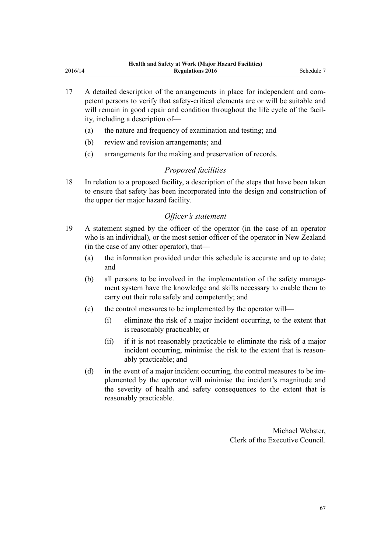- 17 A detailed description of the arrangements in place for independent and competent persons to verify that safety-critical elements are or will be suitable and will remain in good repair and condition throughout the life cycle of the facility, including a description of—
	- (a) the nature and frequency of examination and testing; and
	- (b) review and revision arrangements; and
	- (c) arrangements for the making and preservation of records.

# *Proposed facilities*

18 In relation to a proposed facility, a description of the steps that have been taken to ensure that safety has been incorporated into the design and construction of the upper tier major hazard facility.

# *Officer's statement*

- 19 A statement signed by the officer of the operator (in the case of an operator who is an individual), or the most senior officer of the operator in New Zealand (in the case of any other operator), that—
	- (a) the information provided under this schedule is accurate and up to date; and
	- (b) all persons to be involved in the implementation of the safety management system have the knowledge and skills necessary to enable them to carry out their role safely and competently; and
	- (c) the control measures to be implemented by the operator will—
		- (i) eliminate the risk of a major incident occurring, to the extent that is reasonably practicable; or
		- (ii) if it is not reasonably practicable to eliminate the risk of a major incident occurring, minimise the risk to the extent that is reasonably practicable; and
	- (d) in the event of a major incident occurring, the control measures to be implemented by the operator will minimise the incident's magnitude and the severity of health and safety consequences to the extent that is reasonably practicable.

Michael Webster, Clerk of the Executive Council.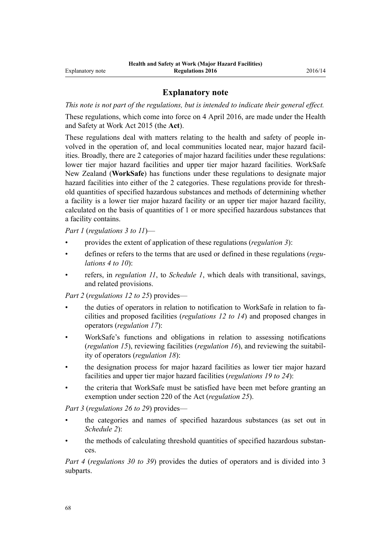#### **Explanatory note**

*This note is not part of the regulations, but is intended to indicate their general effect.*

These regulations, which come into force on 4 April 2016, are made under the [Health](http://prd-lgnz-nlb.prd.pco.net.nz/pdflink.aspx?id=DLM5976602) [and Safety at Work Act 2015](http://prd-lgnz-nlb.prd.pco.net.nz/pdflink.aspx?id=DLM5976602) (the **Act**).

These regulations deal with matters relating to the health and safety of people involved in the operation of, and local communities located near, major hazard facilities. Broadly, there are 2 categories of major hazard facilities under these regulations: lower tier major hazard facilities and upper tier major hazard facilities. WorkSafe New Zealand (**WorkSafe**) has functions under these regulations to designate major hazard facilities into either of the 2 categories. These regulations provide for threshold quantities of specified hazardous substances and methods of determining whether a facility is a lower tier major hazard facility or an upper tier major hazard facility, calculated on the basis of quantities of 1 or more specified hazardous substances that a facility contains.

*[Part 1](#page-4-0)* (*[regulations 3 to 11](#page-4-0)*)—

- provides the extent of application of these regulations (*[regulation 3](#page-4-0)*):
- defines or refers to the terms that are used or defined in these regulations (*[regu](#page-5-0)[lations 4 to 10](#page-5-0)*):
- refers, in *[regulation 11](#page-9-0)*, to *[Schedule 1](#page-43-0)*, which deals with transitional, savings, and related provisions.

*[Part 2](#page-9-0)* (*[regulations 12 to 25](#page-9-0)*) provides—

- the duties of operators in relation to notification to WorkSafe in relation to facilities and proposed facilities (*[regulations 12 to 14](#page-9-0)*) and proposed changes in operators (*[regulation 17](#page-12-0)*):
- WorkSafe's functions and obligations in relation to assessing notifications (*[regulation 15](#page-10-0)*), reviewing facilities (*[regulation 16](#page-11-0)*), and reviewing the suitability of operators (*[regulation 18](#page-13-0)*):
- the designation process for major hazard facilities as lower tier major hazard facilities and upper tier major hazard facilities (*[regulations 19 to 24](#page-14-0)*):
- the criteria that WorkSafe must be satisfied have been met before granting an exemption under [section 220](http://prd-lgnz-nlb.prd.pco.net.nz/pdflink.aspx?id=DLM6544175) of the Act (*[regulation 25](#page-16-0)*).

*[Part 3](#page-16-0)* (*[regulations 26 to 29](#page-16-0)*) provides—

- the categories and names of specified hazardous substances (as set out in *[Schedule 2](#page-45-0)*):
- the methods of calculating threshold quantities of specified hazardous substances.

*[Part 4](#page-19-0)* (*[regulations 30 to 39](#page-19-0)*) provides the duties of operators and is divided into 3 subparts.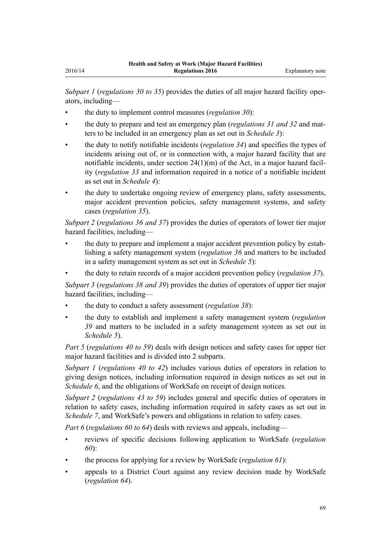*[Subpart 1](#page-19-0)* (*[regulations 30 to 35](#page-19-0)*) provides the duties of all major hazard facility operators, including—

- the duty to implement control measures (*[regulation 30](#page-19-0)*):
- the duty to prepare and test an emergency plan (*[regulations 31](#page-19-0) and [32](#page-21-0)* and matters to be included in an emergency plan as set out in *[Schedule 3](#page-56-0)*):
- the duty to notify notifiable incidents (*[regulation 34](#page-21-0)*) and specifies the types of incidents arising out of, or in connection with, a major hazard facility that are notifiable incidents, under [section 24\(1\)\(m\)](http://prd-lgnz-nlb.prd.pco.net.nz/pdflink.aspx?id=DLM5976877) of the Act, in a major hazard facility (*[regulation 33](#page-21-0)* and information required in a notice of a notifiable incident as set out in *[Schedule 4](#page-58-0)*):
- the duty to undertake ongoing review of emergency plans, safety assessments, major accident prevention policies, safety management systems, and safety cases (*[regulation 35](#page-22-0)*).

*[Subpart 2](#page-23-0)* (*[regulations 36](#page-23-0) and [37](#page-24-0)*) provides the duties of operators of lower tier major hazard facilities, including—

- the duty to prepare and implement a major accident prevention policy by establishing a safety management system (*[regulation 36](#page-23-0)* and matters to be included in a safety management system as set out in *[Schedule 5](#page-60-0)*):
- the duty to retain records of a major accident prevention policy (*[regulation 37](#page-24-0)*).

*[Subpart 3](#page-25-0)* (*[regulations 38](#page-25-0) and [39](#page-26-0)*) provides the duties of operators of upper tier major hazard facilities, including—

- the duty to conduct a safety assessment (*[regulation 38](#page-25-0)*):
- the duty to establish and implement a safety management system (*[regulation](#page-26-0) [39](#page-26-0)* and matters to be included in a safety management system as set out in *[Schedule 5](#page-60-0)*).

*[Part 5](#page-27-0)* (*[regulations 40 to 59](#page-27-0)*) deals with design notices and safety cases for upper tier major hazard facilities and is divided into 2 subparts.

*[Subpart 1](#page-27-0)* (*[regulations 40 to 42](#page-27-0)*) includes various duties of operators in relation to giving design notices, including information required in design notices as set out in *[Schedule 6](#page-63-0)*, and the obligations of WorkSafe on receipt of design notices.

*[Subpart 2](#page-28-0)* (*[regulations 43 to 59](#page-28-0)*) includes general and specific duties of operators in relation to safety cases, including information required in safety cases as set out in *[Schedule 7](#page-64-0)*, and WorkSafe's powers and obligations in relation to safety cases.

*[Part 6](#page-37-0)* (*[regulations 60 to 64](#page-37-0)*) deals with reviews and appeals, including—

- reviews of specific decisions following application to WorkSafe (*[regulation](#page-37-0) [60](#page-37-0)*):
- the process for applying for a review by WorkSafe (*[regulation 61](#page-37-0)*):
- appeals to a District Court against any review decision made by WorkSafe (*[regulation 64](#page-38-0)*).